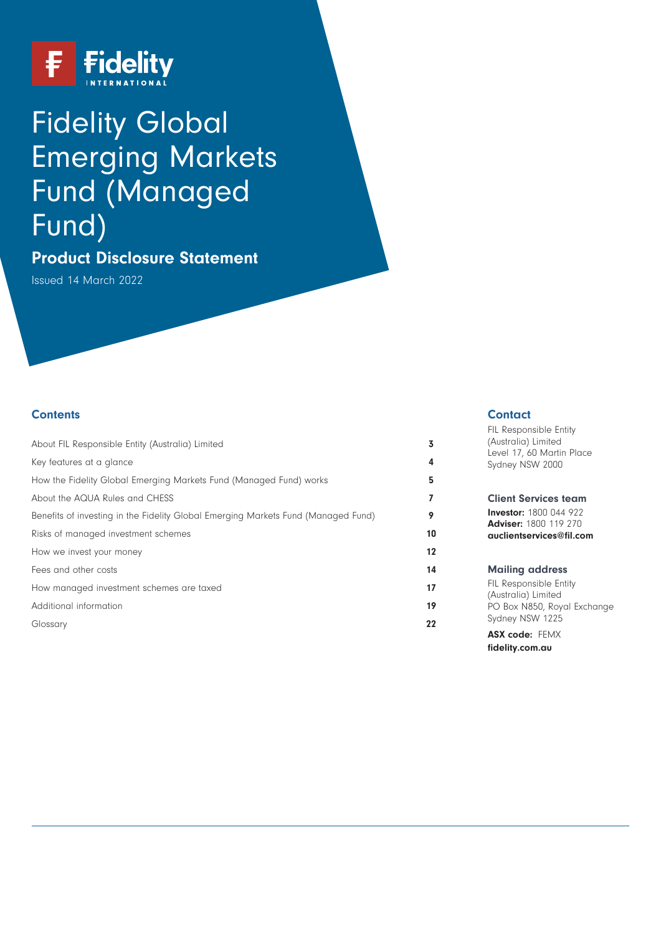

# Fidelity Global Emerging Markets Fund (Managed Fund)

# **Product Disclosure Statement**

Issued 14 March 2022

# **Contents**

| About FIL Responsible Entity (Australia) Limited                                  | 3  |
|-----------------------------------------------------------------------------------|----|
| Key features at a glance                                                          | 4  |
| How the Fidelity Global Emerging Markets Fund (Managed Fund) works                | 5  |
| About the AQUA Rules and CHESS                                                    | 7  |
| Benefits of investing in the Fidelity Global Emerging Markets Fund (Managed Fund) | 9  |
| Risks of managed investment schemes                                               | 10 |
| How we invest your money                                                          | 12 |
| Fees and other costs                                                              | 14 |
| How managed investment schemes are taxed                                          | 17 |
| Additional information                                                            | 19 |
| Glossary                                                                          | 22 |

#### **Contact**

| FIL Responsible Entity<br>(Australia) Limited<br>Level 17, 60 Martin Place<br>Sydney NSW 2000                            |
|--------------------------------------------------------------------------------------------------------------------------|
| <b>Client Services team</b><br><b>Investor:</b> 1800 044 922<br><b>Adviser: 1800 119 270</b><br>auclientservices@fil.com |
| <b>Mailing address</b><br>FIL Responsible Entity                                                                         |

(Australia) Limited PO Box N850, Royal Exchange Sydney NSW 1225

**ASX code:** FEMX **[fidelity.com.au](https://www.fidelity.com.au)**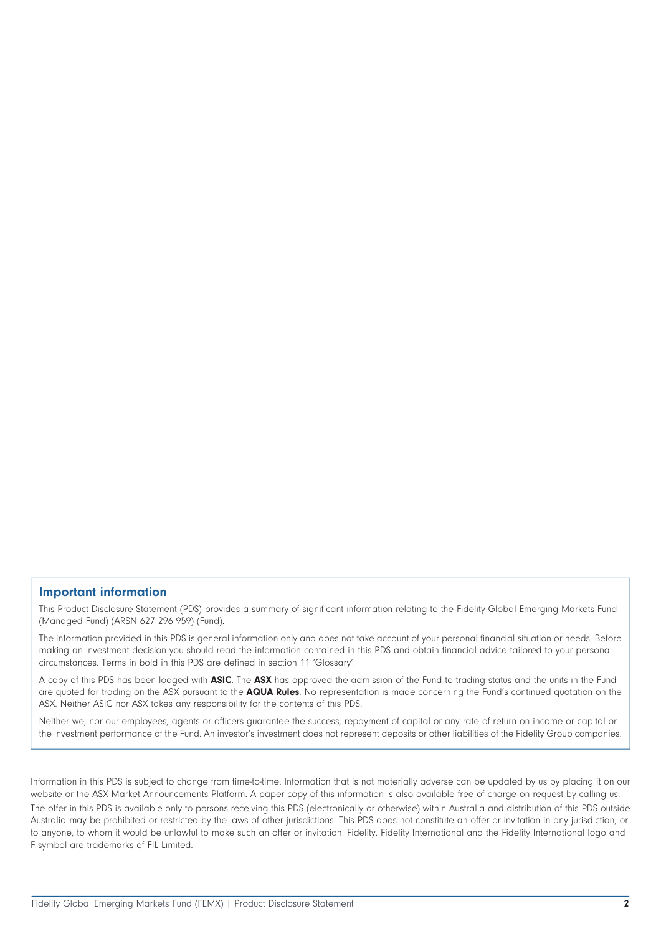#### **Important information**

This Product Disclosure Statement (PDS) provides a summary of significant information relating to the Fidelity Global Emerging Markets Fund (Managed Fund) (ARSN 627 296 959) (Fund).

The information provided in this PDS is general information only and does not take account of your personal financial situation or needs. Before making an investment decision you should read the information contained in this PDS and obtain financial advice tailored to your personal circumstances. Terms in bold in this PDS are defined in section 11 'Glossary'.

A copy of this PDS has been lodged with **ASIC**. The **ASX** has approved the admission of the Fund to trading status and the units in the Fund are quoted for trading on the ASX pursuant to the **AQUA Rules**. No representation is made concerning the Fund's continued quotation on the ASX. Neither ASIC nor ASX takes any responsibility for the contents of this PDS.

Neither we, nor our employees, agents or officers guarantee the success, repayment of capital or any rate of return on income or capital or the investment performance of the Fund. An investor's investment does not represent deposits or other liabilities of the Fidelity Group companies.

Information in this PDS is subject to change from time-to-time. Information that is not materially adverse can be updated by us by placing it on our website or the ASX Market Announcements Platform. A paper copy of this information is also available free of charge on request by calling us.

The offer in this PDS is available only to persons receiving this PDS (electronically or otherwise) within Australia and distribution of this PDS outside Australia may be prohibited or restricted by the laws of other jurisdictions. This PDS does not constitute an offer or invitation in any jurisdiction, or to anyone, to whom it would be unlawful to make such an offer or invitation. Fidelity, Fidelity International and the Fidelity International logo and F symbol are trademarks of FIL Limited.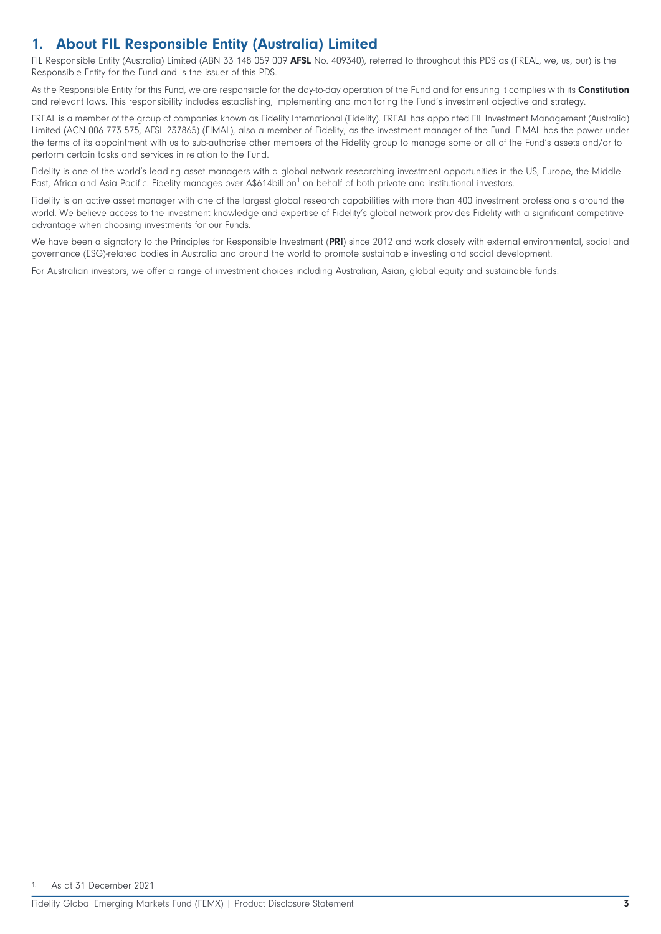# <span id="page-2-0"></span>**1. About FIL Responsible Entity (Australia) Limited**

FIL Responsible Entity (Australia) Limited (ABN 33 148 059 009 **AFSL** No. 409340), referred to throughout this PDS as (FREAL, we, us, our) is the Responsible Entity for the Fund and is the issuer of this PDS.

As the Responsible Entity for this Fund, we are responsible for the day-to-day operation of the Fund and for ensuring it complies with its **Constitution** and relevant laws. This responsibility includes establishing, implementing and monitoring the Fund's investment objective and strategy.

FREAL is a member of the group of companies known as Fidelity International (Fidelity). FREAL has appointed FIL Investment Management (Australia) Limited (ACN 006 773 575, AFSL 237865) (FIMAL), also a member of Fidelity, as the investment manager of the Fund. FIMAL has the power under the terms of its appointment with us to sub-authorise other members of the Fidelity group to manage some or all of the Fund's assets and/or to perform certain tasks and services in relation to the Fund.

Fidelity is one of the world's leading asset managers with a global network researching investment opportunities in the US, Europe, the Middle East, Africa and Asia Pacific. Fidelity manages over A\$614billion<sup>1</sup> on behalf of both private and institutional investors.

Fidelity is an active asset manager with one of the largest global research capabilities with more than 400 investment professionals around the world. We believe access to the investment knowledge and expertise of Fidelity's global network provides Fidelity with a significant competitive advantage when choosing investments for our Funds.

We have been a signatory to the Principles for Responsible Investment (**PRI**) since 2012 and work closely with external environmental, social and governance (ESG)-related bodies in Australia and around the world to promote sustainable investing and social development.

For Australian investors, we offer a range of investment choices including Australian, Asian, global equity and sustainable funds.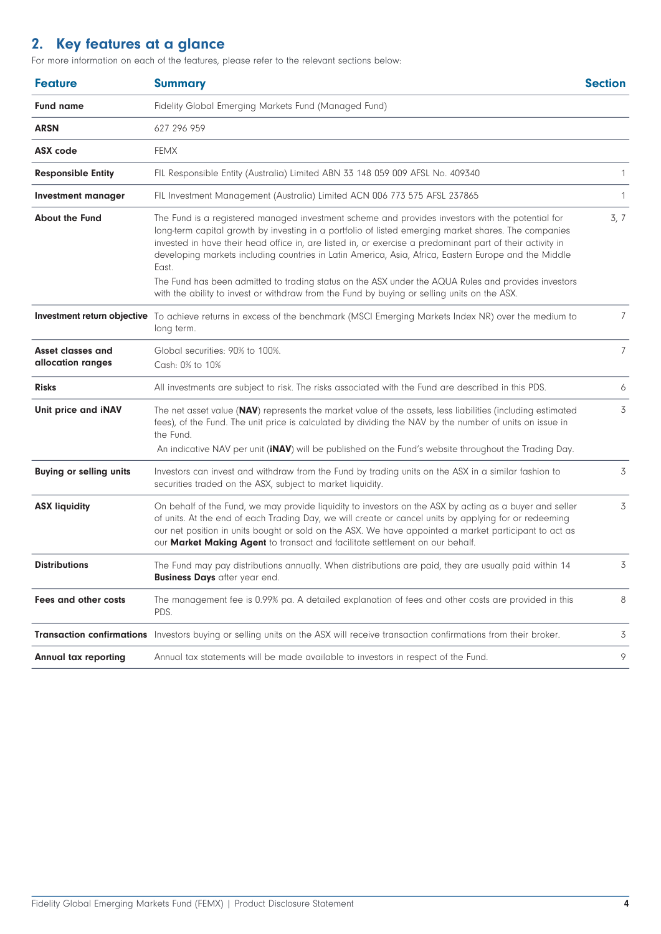# <span id="page-3-0"></span>**2. Key features at a glance**

For more information on each of the features, please refer to the relevant sections below:

| <b>Feature</b>                                                                                                                                                                                                                                                                                                                                                                                                                    | <b>Summary</b>                                                                                                                                                                                                                                                                                                                                                                                                                                                                                                                                                                                                                               | <b>Section</b> |
|-----------------------------------------------------------------------------------------------------------------------------------------------------------------------------------------------------------------------------------------------------------------------------------------------------------------------------------------------------------------------------------------------------------------------------------|----------------------------------------------------------------------------------------------------------------------------------------------------------------------------------------------------------------------------------------------------------------------------------------------------------------------------------------------------------------------------------------------------------------------------------------------------------------------------------------------------------------------------------------------------------------------------------------------------------------------------------------------|----------------|
| <b>Fund name</b>                                                                                                                                                                                                                                                                                                                                                                                                                  | Fidelity Global Emerging Markets Fund (Managed Fund)                                                                                                                                                                                                                                                                                                                                                                                                                                                                                                                                                                                         |                |
| <b>ARSN</b>                                                                                                                                                                                                                                                                                                                                                                                                                       | 627 296 959                                                                                                                                                                                                                                                                                                                                                                                                                                                                                                                                                                                                                                  |                |
| <b>ASX</b> code                                                                                                                                                                                                                                                                                                                                                                                                                   | <b>FEMX</b>                                                                                                                                                                                                                                                                                                                                                                                                                                                                                                                                                                                                                                  |                |
| <b>Responsible Entity</b>                                                                                                                                                                                                                                                                                                                                                                                                         | FIL Responsible Entity (Australia) Limited ABN 33 148 059 009 AFSL No. 409340                                                                                                                                                                                                                                                                                                                                                                                                                                                                                                                                                                | 1              |
| Investment manager                                                                                                                                                                                                                                                                                                                                                                                                                | FIL Investment Management (Australia) Limited ACN 006 773 575 AFSL 237865                                                                                                                                                                                                                                                                                                                                                                                                                                                                                                                                                                    | 1              |
| <b>About the Fund</b>                                                                                                                                                                                                                                                                                                                                                                                                             | The Fund is a registered managed investment scheme and provides investors with the potential for<br>long-term capital growth by investing in a portfolio of listed emerging market shares. The companies<br>invested in have their head office in, are listed in, or exercise a predominant part of their activity in<br>developing markets including countries in Latin America, Asia, Africa, Eastern Europe and the Middle<br>East.<br>The Fund has been admitted to trading status on the ASX under the AQUA Rules and provides investors<br>with the ability to invest or withdraw from the Fund by buying or selling units on the ASX. | 3, 7           |
|                                                                                                                                                                                                                                                                                                                                                                                                                                   | Investment return objective To achieve returns in excess of the benchmark (MSCI Emerging Markets Index NR) over the medium to<br>long term.                                                                                                                                                                                                                                                                                                                                                                                                                                                                                                  | $\overline{7}$ |
| Asset classes and<br>allocation ranges                                                                                                                                                                                                                                                                                                                                                                                            | Global securities: 90% to 100%.<br>Cash: 0% to 10%                                                                                                                                                                                                                                                                                                                                                                                                                                                                                                                                                                                           | $7^{\circ}$    |
| <b>Risks</b>                                                                                                                                                                                                                                                                                                                                                                                                                      | All investments are subject to risk. The risks associated with the Fund are described in this PDS.                                                                                                                                                                                                                                                                                                                                                                                                                                                                                                                                           |                |
| Unit price and iNAV                                                                                                                                                                                                                                                                                                                                                                                                               | The net asset value (NAV) represents the market value of the assets, less liabilities (including estimated<br>fees), of the Fund. The unit price is calculated by dividing the NAV by the number of units on issue in<br>the Fund.<br>An indicative NAV per unit (iNAV) will be published on the Fund's website throughout the Trading Day.                                                                                                                                                                                                                                                                                                  | 3              |
| <b>Buying or selling units</b>                                                                                                                                                                                                                                                                                                                                                                                                    | Investors can invest and withdraw from the Fund by trading units on the ASX in a similar fashion to<br>securities traded on the ASX, subject to market liquidity.                                                                                                                                                                                                                                                                                                                                                                                                                                                                            | 3              |
| On behalf of the Fund, we may provide liquidity to investors on the ASX by acting as a buyer and seller<br><b>ASX liquidity</b><br>of units. At the end of each Trading Day, we will create or cancel units by applying for or redeeming<br>our net position in units bought or sold on the ASX. We have appointed a market participant to act as<br>our Market Making Agent to transact and facilitate settlement on our behalf. |                                                                                                                                                                                                                                                                                                                                                                                                                                                                                                                                                                                                                                              | 3              |
| <b>Distributions</b>                                                                                                                                                                                                                                                                                                                                                                                                              | The Fund may pay distributions annually. When distributions are paid, they are usually paid within 14<br><b>Business Days</b> after year end.                                                                                                                                                                                                                                                                                                                                                                                                                                                                                                |                |
| Fees and other costs                                                                                                                                                                                                                                                                                                                                                                                                              | The management fee is 0.99% pa. A detailed explanation of fees and other costs are provided in this<br>PDS.                                                                                                                                                                                                                                                                                                                                                                                                                                                                                                                                  | 8              |
|                                                                                                                                                                                                                                                                                                                                                                                                                                   | Transaction confirmations Investors buying or selling units on the ASX will receive transaction confirmations from their broker.                                                                                                                                                                                                                                                                                                                                                                                                                                                                                                             | 3              |
| <b>Annual tax reporting</b>                                                                                                                                                                                                                                                                                                                                                                                                       | Annual tax statements will be made available to investors in respect of the Fund.                                                                                                                                                                                                                                                                                                                                                                                                                                                                                                                                                            | 9              |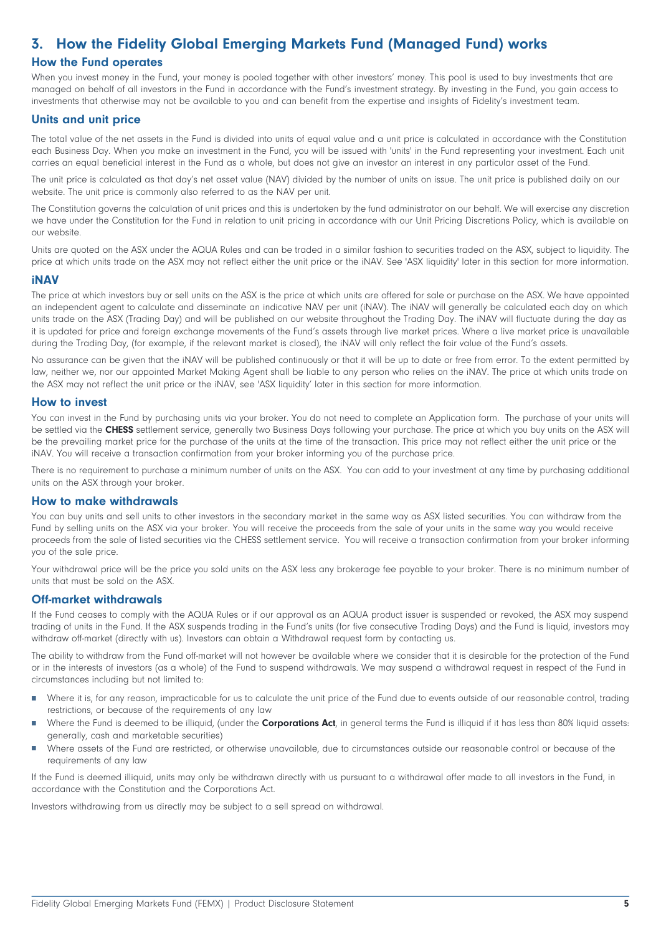# <span id="page-4-0"></span>**3. How the Fidelity Global Emerging Markets Fund (Managed Fund) works**

# **How the Fund operates**

When you invest money in the Fund, your money is pooled together with other investors' money. This pool is used to buy investments that are managed on behalf of all investors in the Fund in accordance with the Fund's investment strategy. By investing in the Fund, you gain access to investments that otherwise may not be available to you and can benefit from the expertise and insights of Fidelity's investment team.

# **Units and unit price**

The total value of the net assets in the Fund is divided into units of equal value and a unit price is calculated in accordance with the Constitution each Business Day. When you make an investment in the Fund, you will be issued with 'units' in the Fund representing your investment. Each unit carries an equal beneficial interest in the Fund as a whole, but does not give an investor an interest in any particular asset of the Fund.

The unit price is calculated as that day's net asset value (NAV) divided by the number of units on issue. The unit price is published daily on our website. The unit price is commonly also referred to as the NAV per unit.

The Constitution governs the calculation of unit prices and this is undertaken by the fund administrator on our behalf. We will exercise any discretion we have under the Constitution for the Fund in relation to unit pricing in accordance with our Unit Pricing Discretions Policy, which is available on our website.

Units are quoted on the ASX under the AQUA Rules and can be traded in a similar fashion to securities traded on the ASX, subject to liquidity. The price at which units trade on the ASX may not reflect either the unit price or the iNAV. See 'ASX liquidity' later in this section for more information.

#### **iNAV**

The price at which investors buy or sell units on the ASX is the price at which units are offered for sale or purchase on the ASX. We have appointed an independent agent to calculate and disseminate an indicative NAV per unit (iNAV). The iNAV will generally be calculated each day on which units trade on the ASX (Trading Day) and will be published on our website throughout the Trading Day. The iNAV will fluctuate during the day as it is updated for price and foreign exchange movements of the Fund's assets through live market prices. Where a live market price is unavailable during the Trading Day, (for example, if the relevant market is closed), the iNAV will only reflect the fair value of the Fund's assets.

No assurance can be given that the iNAV will be published continuously or that it will be up to date or free from error. To the extent permitted by law, neither we, nor our appointed Market Making Agent shall be liable to any person who relies on the iNAV. The price at which units trade on the ASX may not reflect the unit price or the iNAV, see 'ASX liquidity' later in this section for more information.

#### **How to invest**

You can invest in the Fund by purchasing units via your broker. You do not need to complete an Application form. The purchase of your units will be settled via the **CHESS** settlement service, generally two Business Days following your purchase. The price at which you buy units on the ASX will be the prevailing market price for the purchase of the units at the time of the transaction. This price may not reflect either the unit price or the iNAV. You will receive a transaction confirmation from your broker informing you of the purchase price.

There is no requirement to purchase a minimum number of units on the ASX. You can add to your investment at any time by purchasing additional units on the ASX through your broker.

#### **How to make withdrawals**

You can buy units and sell units to other investors in the secondary market in the same way as ASX listed securities. You can withdraw from the Fund by selling units on the ASX via your broker. You will receive the proceeds from the sale of your units in the same way you would receive proceeds from the sale of listed securities via the CHESS settlement service. You will receive a transaction confirmation from your broker informing you of the sale price.

Your withdrawal price will be the price you sold units on the ASX less any brokerage fee payable to your broker. There is no minimum number of units that must be sold on the ASX.

#### **Off-market withdrawals**

If the Fund ceases to comply with the AQUA Rules or if our approval as an AQUA product issuer is suspended or revoked, the ASX may suspend trading of units in the Fund. If the ASX suspends trading in the Fund's units (for five consecutive Trading Days) and the Fund is liquid, investors may withdraw off-market (directly with us). Investors can obtain a Withdrawal request form by contacting us.

The ability to withdraw from the Fund off-market will not however be available where we consider that it is desirable for the protection of the Fund or in the interests of investors (as a whole) of the Fund to suspend withdrawals. We may suspend a withdrawal request in respect of the Fund in circumstances including but not limited to:

- Where it is, for any reason, impracticable for us to calculate the unit price of the Fund due to events outside of our reasonable control, trading Ħ restrictions, or because of the requirements of any law
- Ħ Where the Fund is deemed to be illiquid, (under the **Corporations Act**, in general terms the Fund is illiquid if it has less than 80% liquid assets: generally, cash and marketable securities)
- Ħ Where assets of the Fund are restricted, or otherwise unavailable, due to circumstances outside our reasonable control or because of the requirements of any law

If the Fund is deemed illiquid, units may only be withdrawn directly with us pursuant to a withdrawal offer made to all investors in the Fund, in accordance with the Constitution and the Corporations Act.

Investors withdrawing from us directly may be subject to a sell spread on withdrawal.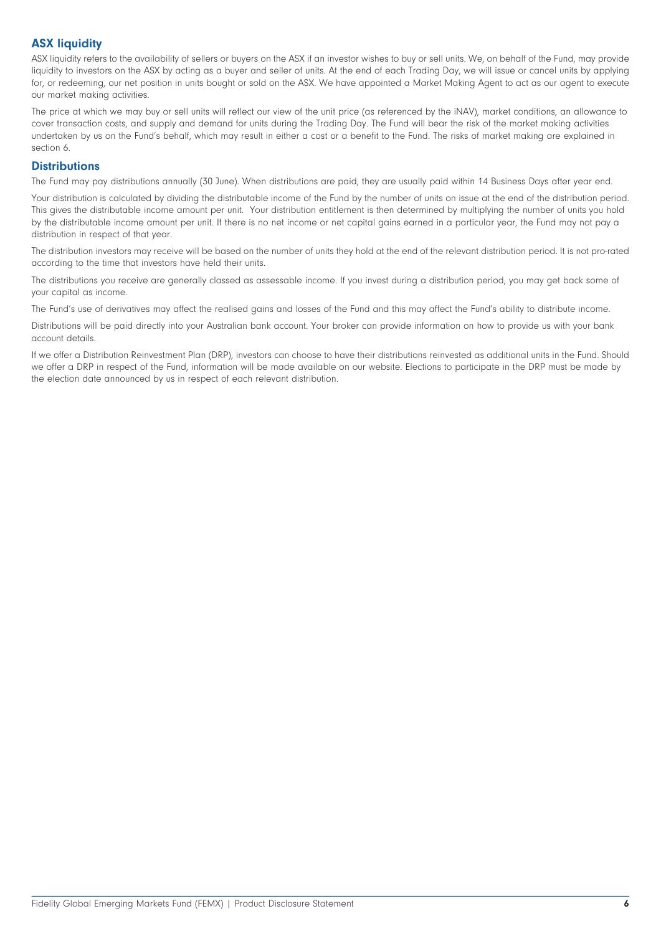# **ASX liquidity**

ASX liquidity refers to the availability of sellers or buyers on the ASX if an investor wishes to buy or sell units. We, on behalf of the Fund, may provide liquidity to investors on the ASX by acting as a buyer and seller of units. At the end of each Trading Day, we will issue or cancel units by applying for, or redeeming, our net position in units bought or sold on the ASX. We have appointed a Market Making Agent to act as our agent to execute our market making activities.

The price at which we may buy or sell units will reflect our view of the unit price (as referenced by the iNAV), market conditions, an allowance to cover transaction costs, and supply and demand for units during the Trading Day. The Fund will bear the risk of the market making activities undertaken by us on the Fund's behalf, which may result in either a cost or a benefit to the Fund. The risks of market making are explained in section 6.

# **Distributions**

The Fund may pay distributions annually (30 June). When distributions are paid, they are usually paid within 14 Business Days after year end.

Your distribution is calculated by dividing the distributable income of the Fund by the number of units on issue at the end of the distribution period. This gives the distributable income amount per unit. Your distribution entitlement is then determined by multiplying the number of units you hold by the distributable income amount per unit. If there is no net income or net capital gains earned in a particular year, the Fund may not pay a distribution in respect of that year.

The distribution investors may receive will be based on the number of units they hold at the end of the relevant distribution period. It is not pro-rated according to the time that investors have held their units.

The distributions you receive are generally classed as assessable income. If you invest during a distribution period, you may get back some of your capital as income.

The Fund's use of derivatives may affect the realised gains and losses of the Fund and this may affect the Fund's ability to distribute income.

Distributions will be paid directly into your Australian bank account. Your broker can provide information on how to provide us with your bank account details.

If we offer a Distribution Reinvestment Plan (DRP), investors can choose to have their distributions reinvested as additional units in the Fund. Should we offer a DRP in respect of the Fund, information will be made available on our website. Elections to participate in the DRP must be made by the election date announced by us in respect of each relevant distribution.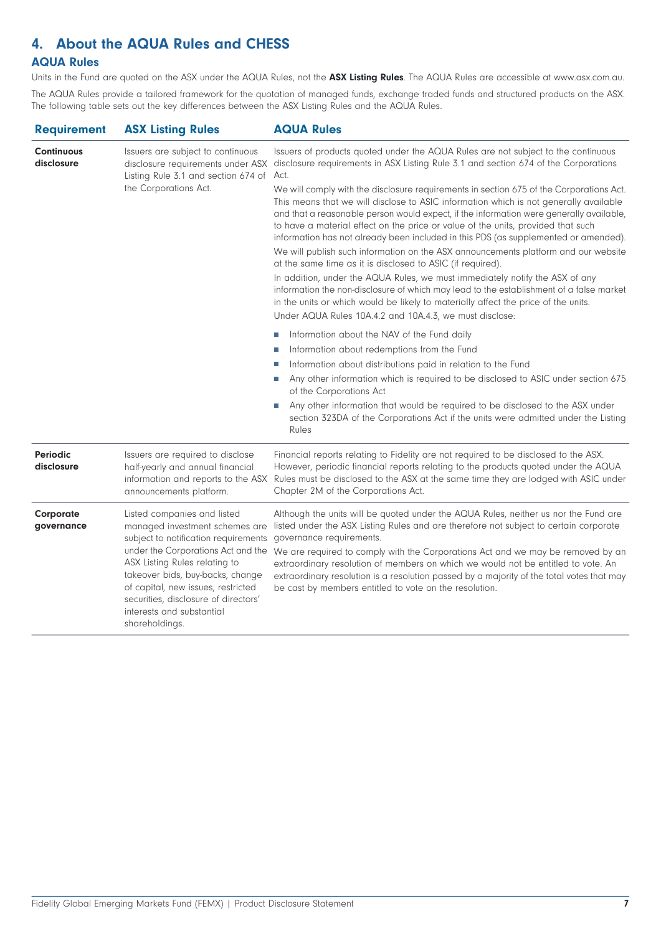# <span id="page-6-0"></span>**4. About the AQUA Rules and CHESS**

# **AQUA Rules**

Units in the Fund are quoted on the ASX under the AQUA Rules, not the **ASX Listing Rules**. The AQUA Rules are accessible at [www.asx.com.au.](https://www2.asx.com.au/)

The AQUA Rules provide a tailored framework for the quotation of managed funds, exchange traded funds and structured products on the ASX. The following table sets out the key differences between the ASX Listing Rules and the AQUA Rules.

| <b>ASX Listing Rules</b>                                                                                                                                                                                                                                                                                                                      | <b>AQUA Rules</b>                                                                                                                                                                                                                                                                                                                                                                                                                                                                                                                                                                                                                                                                                                                                                                     |  |
|-----------------------------------------------------------------------------------------------------------------------------------------------------------------------------------------------------------------------------------------------------------------------------------------------------------------------------------------------|---------------------------------------------------------------------------------------------------------------------------------------------------------------------------------------------------------------------------------------------------------------------------------------------------------------------------------------------------------------------------------------------------------------------------------------------------------------------------------------------------------------------------------------------------------------------------------------------------------------------------------------------------------------------------------------------------------------------------------------------------------------------------------------|--|
| Issuers are subject to continuous<br>Listing Rule 3.1 and section 674 of                                                                                                                                                                                                                                                                      | Issuers of products quoted under the AQUA Rules are not subject to the continuous<br>disclosure requirements under ASX disclosure requirements in ASX Listing Rule 3.1 and section 674 of the Corporations<br>Act.                                                                                                                                                                                                                                                                                                                                                                                                                                                                                                                                                                    |  |
| the Corporations Act.                                                                                                                                                                                                                                                                                                                         | We will comply with the disclosure requirements in section 675 of the Corporations Act.<br>This means that we will disclose to ASIC information which is not generally available<br>and that a reasonable person would expect, if the information were generally available,<br>to have a material effect on the price or value of the units, provided that such<br>information has not already been included in this PDS (as supplemented or amended).<br>We will publish such information on the ASX announcements platform and our website<br>at the same time as it is disclosed to ASIC (if required).<br>In addition, under the AQUA Rules, we must immediately notify the ASX of any<br>information the non-disclosure of which may lead to the establishment of a false market |  |
|                                                                                                                                                                                                                                                                                                                                               | in the units or which would be likely to materially affect the price of the units.<br>Under AQUA Rules 10A.4.2 and 10A.4.3, we must disclose:                                                                                                                                                                                                                                                                                                                                                                                                                                                                                                                                                                                                                                         |  |
|                                                                                                                                                                                                                                                                                                                                               | Information about the NAV of the Fund daily<br>Ш<br>Information about redemptions from the Fund<br>П<br>Information about distributions paid in relation to the Fund<br>Ш<br>Any other information which is required to be disclosed to ASIC under section 675<br>of the Corporations Act                                                                                                                                                                                                                                                                                                                                                                                                                                                                                             |  |
|                                                                                                                                                                                                                                                                                                                                               | Any other information that would be required to be disclosed to the ASX under<br>П<br>section 323DA of the Corporations Act if the units were admitted under the Listing<br>Rules                                                                                                                                                                                                                                                                                                                                                                                                                                                                                                                                                                                                     |  |
| Issuers are required to disclose<br>half-yearly and annual financial<br>announcements platform.                                                                                                                                                                                                                                               | Financial reports relating to Fidelity are not required to be disclosed to the ASX.<br>However, periodic financial reports relating to the products quoted under the AQUA<br>information and reports to the ASX Rules must be disclosed to the ASX at the same time they are lodged with ASIC under<br>Chapter 2M of the Corporations Act.                                                                                                                                                                                                                                                                                                                                                                                                                                            |  |
| Listed companies and listed<br>managed investment schemes are<br>subject to notification requirements<br>under the Corporations Act and the<br>ASX Listing Rules relating to<br>takeover bids, buy-backs, change<br>of capital, new issues, restricted<br>securities, disclosure of directors'<br>interests and substantial<br>shareholdings. | Although the units will be quoted under the AQUA Rules, neither us nor the Fund are<br>listed under the ASX Listing Rules and are therefore not subject to certain corporate<br>governance requirements.<br>We are required to comply with the Corporations Act and we may be removed by an<br>extraordinary resolution of members on which we would not be entitled to vote. An<br>extraordinary resolution is a resolution passed by a majority of the total votes that may<br>be cast by members entitled to vote on the resolution.                                                                                                                                                                                                                                               |  |
|                                                                                                                                                                                                                                                                                                                                               |                                                                                                                                                                                                                                                                                                                                                                                                                                                                                                                                                                                                                                                                                                                                                                                       |  |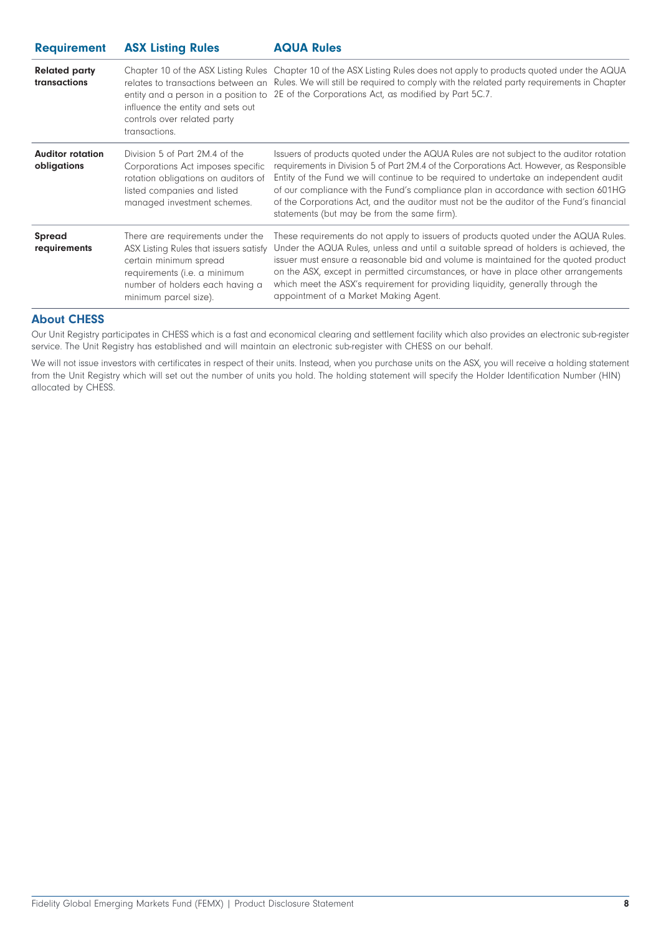| <b>Requirement</b> | <b>ASX Listing Rules</b> | <b>AQUA Rules</b> |
|--------------------|--------------------------|-------------------|
|--------------------|--------------------------|-------------------|

| <b>Related party</b><br>transactions   | influence the entity and sets out<br>controls over related party<br>transactions.                                                                                                                | Chapter 10 of the ASX Listing Rules Chapter 10 of the ASX Listing Rules does not apply to products quoted under the AQUA<br>relates to transactions between an Rules. We will still be required to comply with the related party requirements in Chapter<br>entity and a person in a position to 2E of the Corporations Act, as modified by Part 5C.7.                                                                                                                                                       |
|----------------------------------------|--------------------------------------------------------------------------------------------------------------------------------------------------------------------------------------------------|--------------------------------------------------------------------------------------------------------------------------------------------------------------------------------------------------------------------------------------------------------------------------------------------------------------------------------------------------------------------------------------------------------------------------------------------------------------------------------------------------------------|
| <b>Auditor rotation</b><br>obligations | Division 5 of Part 2M.4 of the<br>Corporations Act imposes specific<br>rotation obligations on auditors of<br>listed companies and listed<br>managed investment schemes.                         | Issuers of products quoted under the AQUA Rules are not subject to the auditor rotation<br>requirements in Division 5 of Part 2M.4 of the Corporations Act. However, as Responsible<br>Entity of the Fund we will continue to be required to undertake an independent audit<br>of our compliance with the Fund's compliance plan in accordance with section 601HG<br>of the Corporations Act, and the auditor must not be the auditor of the Fund's financial<br>statements (but may be from the same firm). |
| <b>Spread</b><br>requirements          | There are requirements under the<br>ASX Listing Rules that issuers satisfy<br>certain minimum spread<br>requirements (i.e. a minimum<br>number of holders each having a<br>minimum parcel size). | These requirements do not apply to issuers of products quoted under the AQUA Rules.<br>Under the AQUA Rules, unless and until a suitable spread of holders is achieved, the<br>issuer must ensure a reasonable bid and volume is maintained for the quoted product<br>on the ASX, except in permitted circumstances, or have in place other arrangements<br>which meet the ASX's requirement for providing liquidity, generally through the<br>appointment of a Market Making Agent.                         |

#### **About CHESS**

Our Unit Registry participates in CHESS which is a fast and economical clearing and settlement facility which also provides an electronic sub-register service. The Unit Registry has established and will maintain an electronic sub-register with CHESS on our behalf.

We will not issue investors with certificates in respect of their units. Instead, when you purchase units on the ASX, you will receive a holding statement from the Unit Registry which will set out the number of units you hold. The holding statement will specify the Holder Identification Number (HIN) allocated by CHESS.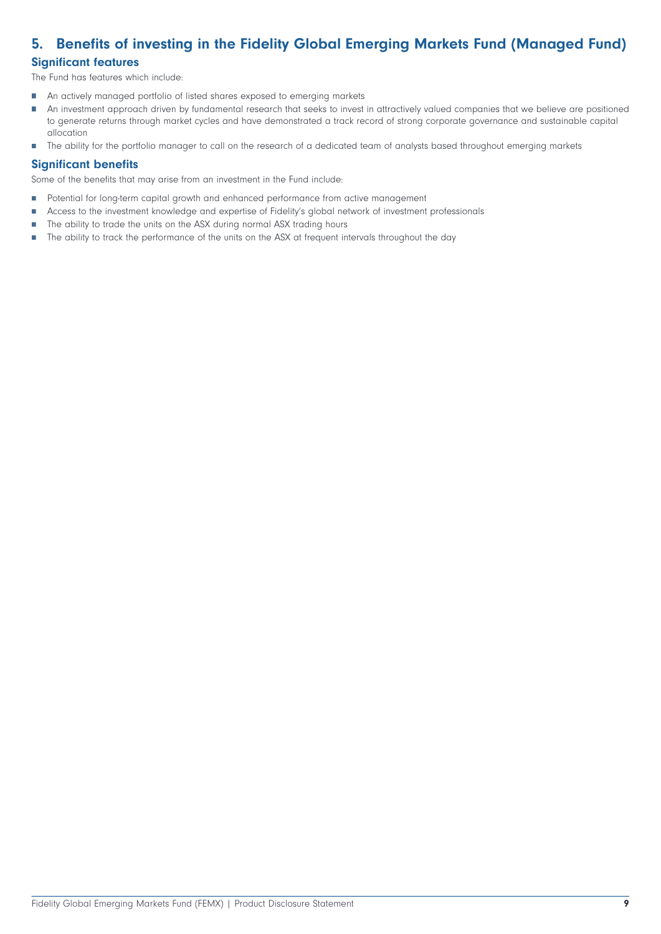# <span id="page-8-0"></span>**5. Benefits of investing in the Fidelity Global Emerging Markets Fund (Managed Fund)**

# **Significant features**

The Fund has features which include:

- m. An actively managed portfolio of listed shares exposed to emerging markets
- An investment approach driven by fundamental research that seeks to invest in attractively valued companies that we believe are positioned Ħ to generate returns through market cycles and have demonstrated a track record of strong corporate governance and sustainable capital allocation
- The ability for the portfolio manager to call on the research of a dedicated team of analysts based throughout emerging markets  $\overline{\phantom{a}}$

# **Significant benefits**

Some of the benefits that may arise from an investment in the Fund include:

- Ħ Potential for long-term capital growth and enhanced performance from active management
- H Access to the investment knowledge and expertise of Fidelity's global network of investment professionals
- The ability to trade the units on the ASX during normal ASX trading hours  $\Box$
- Ē. The ability to track the performance of the units on the ASX at frequent intervals throughout the day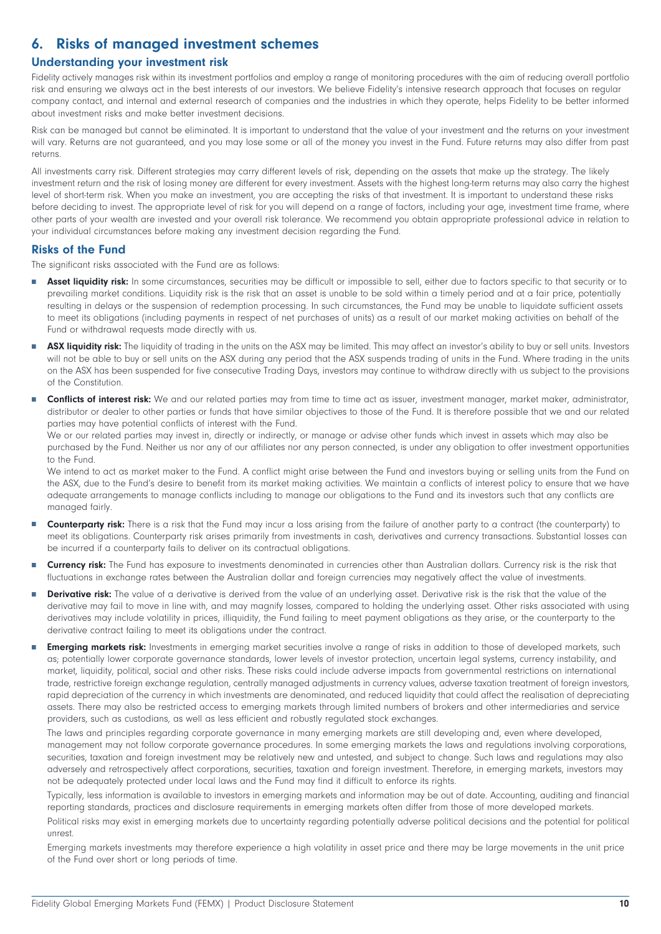# <span id="page-9-0"></span>**6. Risks of managed investment schemes**

# **Understanding your investment risk**

Fidelity actively manages risk within its investment portfolios and employ a range of monitoring procedures with the aim of reducing overall portfolio risk and ensuring we always act in the best interests of our investors. We believe Fidelity's intensive research approach that focuses on regular company contact, and internal and external research of companies and the industries in which they operate, helps Fidelity to be better informed about investment risks and make better investment decisions.

Risk can be managed but cannot be eliminated. It is important to understand that the value of your investment and the returns on your investment will vary. Returns are not guaranteed, and you may lose some or all of the money you invest in the Fund. Future returns may also differ from past returns.

All investments carry risk. Different strategies may carry different levels of risk, depending on the assets that make up the strategy. The likely investment return and the risk of losing money are different for every investment. Assets with the highest long-term returns may also carry the highest level of short-term risk. When you make an investment, you are accepting the risks of that investment. It is important to understand these risks before deciding to invest. The appropriate level of risk for you will depend on a range of factors, including your age, investment time frame, where other parts of your wealth are invested and your overall risk tolerance. We recommend you obtain appropriate professional advice in relation to your individual circumstances before making any investment decision regarding the Fund.

#### **Risks of the Fund**

The significant risks associated with the Fund are as follows:

- П Asset liquidity risk: In some circumstances, securities may be difficult or impossible to sell, either due to factors specific to that security or to prevailing market conditions. Liquidity risk is the risk that an asset is unable to be sold within a timely period and at a fair price, potentially resulting in delays or the suspension of redemption processing. In such circumstances, the Fund may be unable to liquidate sufficient assets to meet its obligations (including payments in respect of net purchases of units) as a result of our market making activities on behalf of the Fund or withdrawal requests made directly with us.
- ASX liquidity risk: The liquidity of trading in the units on the ASX may be limited. This may affect an investor's ability to buy or sell units. Investors П will not be able to buy or sell units on the ASX during any period that the ASX suspends trading of units in the Fund. Where trading in the units on the ASX has been suspended for five consecutive Trading Days, investors may continue to withdraw directly with us subject to the provisions of the Constitution.
- **Conflicts of interest risk:** We and our related parties may from time to time act as issuer, investment manager, market maker, administrator, distributor or dealer to other parties or funds that have similar objectives to those of the Fund. It is therefore possible that we and our related parties may have potential conflicts of interest with the Fund.

We or our related parties may invest in, directly or indirectly, or manage or advise other funds which invest in assets which may also be purchased by the Fund. Neither us nor any of our affiliates nor any person connected, is under any obligation to offer investment opportunities to the Fund.

We intend to act as market maker to the Fund. A conflict might arise between the Fund and investors buying or selling units from the Fund on the ASX, due to the Fund's desire to benefit from its market making activities. We maintain a conflicts of interest policy to ensure that we have adequate arrangements to manage conflicts including to manage our obligations to the Fund and its investors such that any conflicts are managed fairly.

- **Counterparty risk:** There is a risk that the Fund may incur a loss arising from the failure of another party to a contract (the counterparty) to n. meet its obligations. Counterparty risk arises primarily from investments in cash, derivatives and currency transactions. Substantial losses can be incurred if a counterparty fails to deliver on its contractual obligations.
- Ħ **Currency risk:** The Fund has exposure to investments denominated in currencies other than Australian dollars. Currency risk is the risk that fluctuations in exchange rates between the Australian dollar and foreign currencies may negatively affect the value of investments.
- Ħ **Derivative risk:** The value of a derivative is derived from the value of an underlying asset. Derivative risk is the risk that the value of the derivative may fail to move in line with, and may magnify losses, compared to holding the underlying asset. Other risks associated with using derivatives may include volatility in prices, illiquidity, the Fund failing to meet payment obligations as they arise, or the counterparty to the derivative contract failing to meet its obligations under the contract.
- **Emerging markets risk:** Investments in emerging market securities involve a range of risks in addition to those of developed markets, such as; potentially lower corporate governance standards, lower levels of investor protection, uncertain legal systems, currency instability, and market, liquidity, political, social and other risks. These risks could include adverse impacts from governmental restrictions on international trade, restrictive foreign exchange regulation, centrally managed adjustments in currency values, adverse taxation treatment of foreign investors, rapid depreciation of the currency in which investments are denominated, and reduced liquidity that could affect the realisation of depreciating assets. There may also be restricted access to emerging markets through limited numbers of brokers and other intermediaries and service providers, such as custodians, as well as less efficient and robustly regulated stock exchanges.

The laws and principles regarding corporate governance in many emerging markets are still developing and, even where developed, management may not follow corporate governance procedures. In some emerging markets the laws and regulations involving corporations, securities, taxation and foreign investment may be relatively new and untested, and subject to change. Such laws and regulations may also adversely and retrospectively affect corporations, securities, taxation and foreign investment. Therefore, in emerging markets, investors may not be adequately protected under local laws and the Fund may find it difficult to enforce its rights.

Typically, less information is available to investors in emerging markets and information may be out of date. Accounting, auditing and financial reporting standards, practices and disclosure requirements in emerging markets often differ from those of more developed markets.

Political risks may exist in emerging markets due to uncertainty regarding potentially adverse political decisions and the potential for political unrest.

Emerging markets investments may therefore experience a high volatility in asset price and there may be large movements in the unit price of the Fund over short or long periods of time.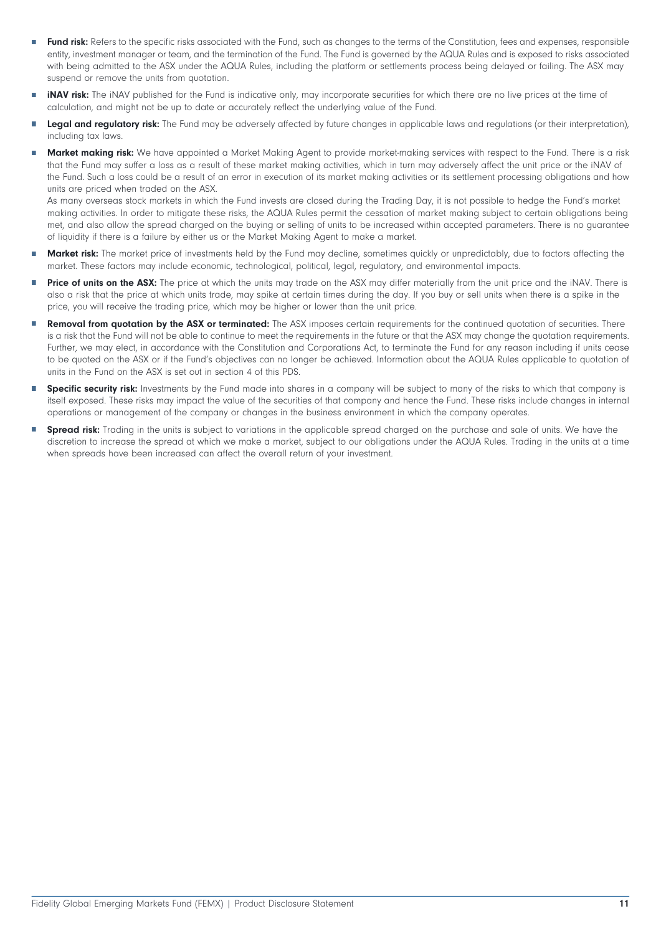- П Fund risk: Refers to the specific risks associated with the Fund, such as changes to the terms of the Constitution, fees and expenses, responsible entity, investment manager or team, and the termination of the Fund. The Fund is governed by the AQUA Rules and is exposed to risks associated with being admitted to the ASX under the AQUA Rules, including the platform or settlements process being delayed or failing. The ASX may suspend or remove the units from quotation.
- $\overline{\phantom{a}}$ **iNAV risk:** The iNAV published for the Fund is indicative only, may incorporate securities for which there are no live prices at the time of calculation, and might not be up to date or accurately reflect the underlying value of the Fund.
- г Legal and regulatory risk: The Fund may be adversely affected by future changes in applicable laws and regulations (or their interpretation), including tax laws.
- **Market making risk:** We have appointed a Market Making Agent to provide market-making services with respect to the Fund. There is a risk that the Fund may suffer a loss as a result of these market making activities, which in turn may adversely affect the unit price or the iNAV of the Fund. Such a loss could be a result of an error in execution of its market making activities or its settlement processing obligations and how units are priced when traded on the ASX.

As many overseas stock markets in which the Fund invests are closed during the Trading Day, it is not possible to hedge the Fund's market making activities. In order to mitigate these risks, the AQUA Rules permit the cessation of market making subject to certain obligations being met, and also allow the spread charged on the buying or selling of units to be increased within accepted parameters. There is no guarantee of liquidity if there is a failure by either us or the Market Making Agent to make a market.

- Ħ **Market risk:** The market price of investments held by the Fund may decline, sometimes quickly or unpredictably, due to factors affecting the market. These factors may include economic, technological, political, legal, regulatory, and environmental impacts.
- П Price of units on the ASX: The price at which the units may trade on the ASX may differ materially from the unit price and the iNAV. There is also a risk that the price at which units trade, may spike at certain times during the day. If you buy or sell units when there is a spike in the price, you will receive the trading price, which may be higher or lower than the unit price.
- **Removal from quotation by the ASX or terminated:** The ASX imposes certain requirements for the continued quotation of securities. There Ħ is a risk that the Fund will not be able to continue to meet the requirements in the future or that the ASX may change the quotation requirements. Further, we may elect, in accordance with the Constitution and Corporations Act, to terminate the Fund for any reason including if units cease to be quoted on the ASX or if the Fund's objectives can no longer be achieved. Information about the AQUA Rules applicable to quotation of units in the Fund on the ASX is set out in section 4 of this PDS.
- ÷ **Specific security risk:** Investments by the Fund made into shares in a company will be subject to many of the risks to which that company is itself exposed. These risks may impact the value of the securities of that company and hence the Fund. These risks include changes in internal operations or management of the company or changes in the business environment in which the company operates.
- **Spread risk:** Trading in the units is subject to variations in the applicable spread charged on the purchase and sale of units. We have the Ħ discretion to increase the spread at which we make a market, subject to our obligations under the AQUA Rules. Trading in the units at a time when spreads have been increased can affect the overall return of your investment.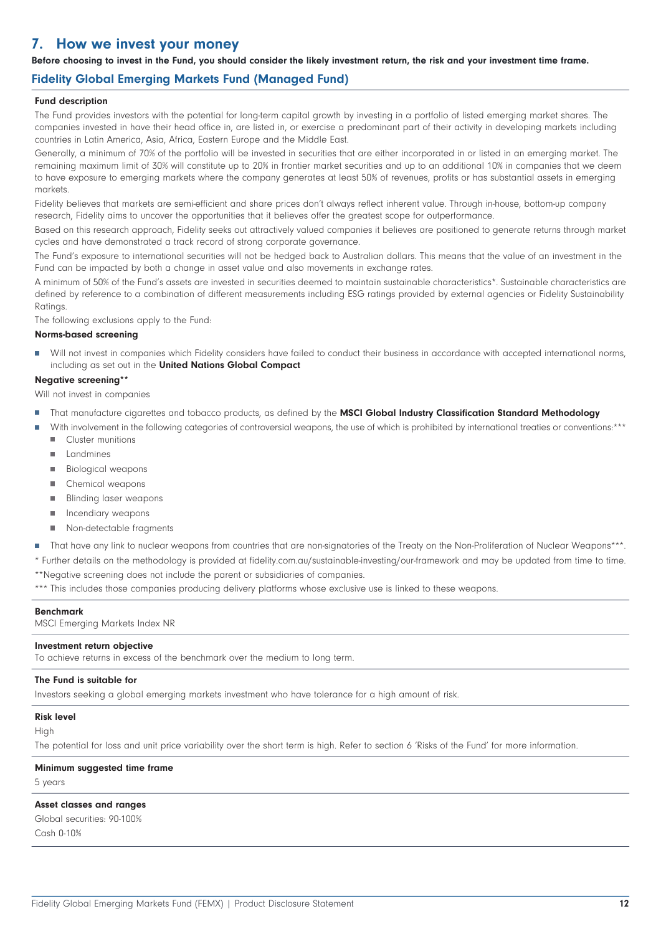# <span id="page-11-0"></span>**7. How we invest your money**

**Before choosing to invest in the Fund, you should consider the likely investment return, the risk and your investment time frame.**

# **Fidelity Global Emerging Markets Fund (Managed Fund)**

#### **Fund description**

The Fund provides investors with the potential for long-term capital growth by investing in a portfolio of listed emerging market shares. The companies invested in have their head office in, are listed in, or exercise a predominant part of their activity in developing markets including countries in Latin America, Asia, Africa, Eastern Europe and the Middle East.

Generally, a minimum of 70% of the portfolio will be invested in securities that are either incorporated in or listed in an emerging market. The remaining maximum limit of 30% will constitute up to 20% in frontier market securities and up to an additional 10% in companies that we deem to have exposure to emerging markets where the company generates at least 50% of revenues, profits or has substantial assets in emerging markets.

Fidelity believes that markets are semi-efficient and share prices don't always reflect inherent value. Through in-house, bottom-up company research, Fidelity aims to uncover the opportunities that it believes offer the greatest scope for outperformance.

Based on this research approach, Fidelity seeks out attractively valued companies it believes are positioned to generate returns through market cycles and have demonstrated a track record of strong corporate governance.

The Fund's exposure to international securities will not be hedged back to Australian dollars. This means that the value of an investment in the Fund can be impacted by both a change in asset value and also movements in exchange rates.

A minimum of 50% of the Fund's assets are invested in securities deemed to maintain sustainable characteristics\*. Sustainable characteristics are defined by reference to a combination of different measurements including ESG ratings provided by external agencies or Fidelity Sustainability **Ratings** 

The following exclusions apply to the Fund:

#### **Norms-based screening**

Will not invest in companies which Fidelity considers have failed to conduct their business in accordance with accepted international norms, including as set out in the **United Nations Global Compact**

#### **Negative screening\*\***

Will not invest in companies

- That manufacture cigarettes and tobacco products, as defined by the **MSCI Global Industry Classification Standard Methodology** r.
- With involvement in the following categories of controversial weapons, the use of which is prohibited by international treaties or conventions:\*\*\* Cluster munitions ш
	- Landmines  $\blacksquare$
	- $\mathbf{u}$ Biological weapons
	- $\mathbf{m}$ Chemical weapons
	- Blinding laser weapons
	- r. Incendiary weapons
	- $\overline{\phantom{a}}$ Non-detectable fragments
- П That have any link to nuclear weapons from countries that are non-signatories of the Treaty on the Non-Proliferation of Nuclear Weapons\*\*\*.

\* Further details on the methodology is provided at fidelity.com.au/sustainable-investing/our-framework and may be updated from time to time. \*\*Negative screening does not include the parent or subsidiaries of companies.

\*\*\* This includes those companies producing delivery platforms whose exclusive use is linked to these weapons.

#### **Benchmark**

MSCI Emerging Markets Index NR

#### **Investment return objective**

To achieve returns in excess of the benchmark over the medium to long term.

#### **The Fund is suitable for**

Investors seeking a global emerging markets investment who have tolerance for a high amount of risk.

#### **Risk level**

#### High

The potential for loss and unit price variability over the short term is high. Refer to section 6 'Risks of the Fund' for more information.

#### **Minimum suggested time frame**

5 years

#### **Asset classes and ranges**

Global securities: 90-100% Cash 0-10%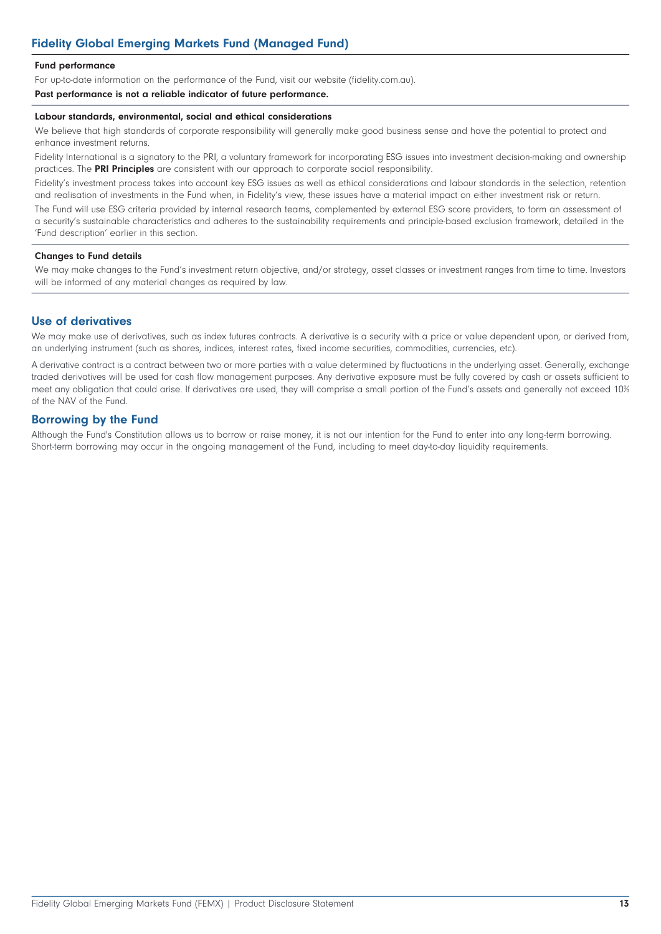#### **Fund performance**

For up-to-date information on the performance of the Fund, visit our website [\(fidelity.com.au\)](https://www.fidelity.com.au).

**Past performance is not a reliable indicator of future performance.**

#### **Labour standards, environmental, social and ethical considerations**

We believe that high standards of corporate responsibility will generally make good business sense and have the potential to protect and enhance investment returns.

Fidelity International is a signatory to the PRI, a voluntary framework for incorporating ESG issues into investment decision-making and ownership practices. The **PRI Principles** are consistent with our approach to corporate social responsibility.

Fidelity's investment process takes into account key ESG issues as well as ethical considerations and labour standards in the selection, retention and realisation of investments in the Fund when, in Fidelity's view, these issues have a material impact on either investment risk or return.

The Fund will use ESG criteria provided by internal research teams, complemented by external ESG score providers, to form an assessment of a security's sustainable characteristics and adheres to the sustainability requirements and principle-based exclusion framework, detailed in the 'Fund description' earlier in this section.

#### **Changes to Fund details**

We may make changes to the Fund's investment return objective, and/or strategy, asset classes or investment ranges from time to time. Investors will be informed of any material changes as required by law.

# **Use of derivatives**

We may make use of derivatives, such as index futures contracts. A derivative is a security with a price or value dependent upon, or derived from, an underlying instrument (such as shares, indices, interest rates, fixed income securities, commodities, currencies, etc).

A derivative contract is a contract between two or more parties with a value determined by fluctuations in the underlying asset. Generally, exchange traded derivatives will be used for cash flow management purposes. Any derivative exposure must be fully covered by cash or assets sufficient to meet any obligation that could arise. If derivatives are used, they will comprise a small portion of the Fund's assets and generally not exceed 10% of the NAV of the Fund.

# **Borrowing by the Fund**

Although the Fund's Constitution allows us to borrow or raise money, it is not our intention for the Fund to enter into any long-term borrowing. Short-term borrowing may occur in the ongoing management of the Fund, including to meet day-to-day liquidity requirements.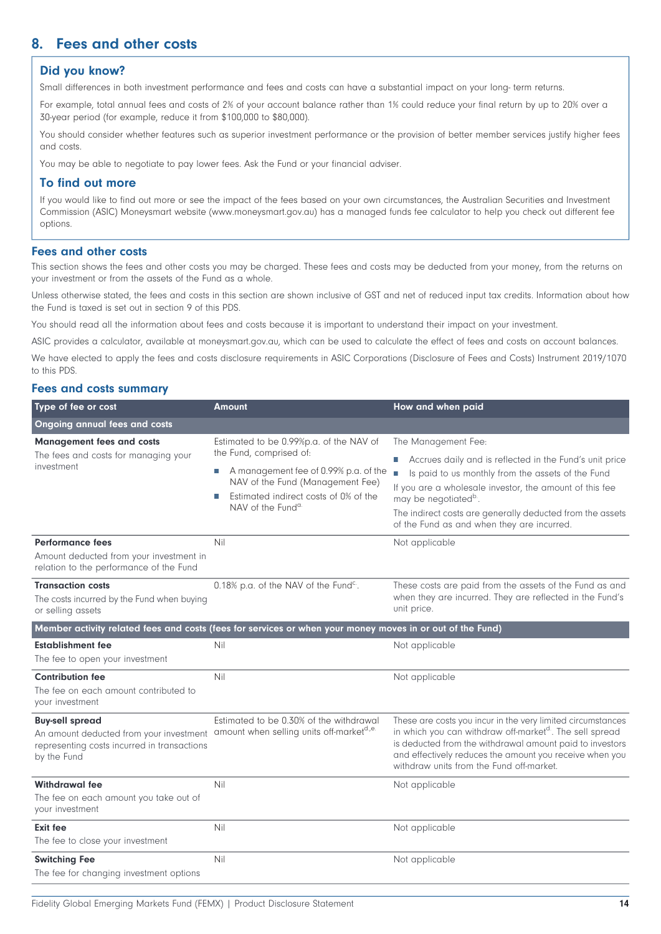# <span id="page-13-0"></span>**8. Fees and other costs**

# **Did you know?**

Small differences in both investment performance and fees and costs can have a substantial impact on your long- term returns.

For example, total annual fees and costs of 2% of your account balance rather than 1% could reduce your final return by up to 20% over a 30-year period (for example, reduce it from \$100,000 to \$80,000).

You should consider whether features such as superior investment performance or the provision of better member services justify higher fees and costs.

You may be able to negotiate to pay lower fees. Ask the Fund or your financial adviser.

# **To find out more**

If you would like to find out more or see the impact of the fees based on your own circumstances, the Australian Securities and Investment Commission (ASIC) Moneysmart website ([www.moneysmart.gov.au](http://www.moneysmart.gov.au)) has a managed funds fee calculator to help you check out different fee options.

### **Fees and other costs**

This section shows the fees and other costs you may be charged. These fees and costs may be deducted from your money, from the returns on your investment or from the assets of the Fund as a whole.

Unless otherwise stated, the fees and costs in this section are shown inclusive of GST and net of reduced input tax credits. Information about how the Fund is taxed is set out in section 9 of this PDS.

You should read all the information about fees and costs because it is important to understand their impact on your investment.

ASIC provides a calculator, available at moneysmart.gov.au, which can be used to calculate the effect of fees and costs on account balances.

We have elected to apply the fees and costs disclosure requirements in ASIC Corporations (Disclosure of Fees and Costs) Instrument 2019/1070 to this PDS.

### **Fees and costs summary**

| Type of fee or cost                                                                                                             | Amount                                                                                                                                                                                                                         | How and when paid                                                                                                                                                                                                                                                                                                                                       |
|---------------------------------------------------------------------------------------------------------------------------------|--------------------------------------------------------------------------------------------------------------------------------------------------------------------------------------------------------------------------------|---------------------------------------------------------------------------------------------------------------------------------------------------------------------------------------------------------------------------------------------------------------------------------------------------------------------------------------------------------|
| <b>Ongoing annual fees and costs</b>                                                                                            |                                                                                                                                                                                                                                |                                                                                                                                                                                                                                                                                                                                                         |
| <b>Management fees and costs</b><br>The fees and costs for managing your<br>investment                                          | Estimated to be 0.99%p.a. of the NAV of<br>the Fund, comprised of:<br>A management fee of 0.99% p.a. of the<br>NAV of the Fund (Management Fee)<br>Estimated indirect costs of 0% of the<br>П<br>NAV of the Fund <sup>a.</sup> | The Management Fee:<br>Accrues daily and is reflected in the Fund's unit price<br>ш<br>П<br>Is paid to us monthly from the assets of the Fund<br>If you are a wholesale investor, the amount of this fee<br>may be negotiated <sup>b</sup> .<br>The indirect costs are generally deducted from the assets<br>of the Fund as and when they are incurred. |
| <b>Performance fees</b><br>Amount deducted from your investment in<br>relation to the performance of the Fund                   | Nil                                                                                                                                                                                                                            | Not applicable                                                                                                                                                                                                                                                                                                                                          |
| <b>Transaction costs</b><br>The costs incurred by the Fund when buying<br>or selling assets                                     | 0.18% p.a. of the NAV of the Fund <sup>c.</sup> .                                                                                                                                                                              | These costs are paid from the assets of the Fund as and<br>when they are incurred. They are reflected in the Fund's<br>unit price.                                                                                                                                                                                                                      |
|                                                                                                                                 | Member activity related fees and costs (fees for services or when your money moves in or out of the Fund)                                                                                                                      |                                                                                                                                                                                                                                                                                                                                                         |
| <b>Establishment fee</b><br>The fee to open your investment                                                                     | Nil                                                                                                                                                                                                                            | Not applicable                                                                                                                                                                                                                                                                                                                                          |
| <b>Contribution fee</b><br>The fee on each amount contributed to<br>your investment                                             | Nil                                                                                                                                                                                                                            | Not applicable                                                                                                                                                                                                                                                                                                                                          |
| <b>Buy-sell spread</b><br>An amount deducted from your investment<br>representing costs incurred in transactions<br>by the Fund | Estimated to be 0.30% of the withdrawal<br>amount when selling units off-market <sup>d.,e.</sup>                                                                                                                               | These are costs you incur in the very limited circumstances<br>in which you can withdraw off-market <sup>d</sup> . The sell spread<br>is deducted from the withdrawal amount paid to investors<br>and effectively reduces the amount you receive when you<br>withdraw units from the Fund off-market.                                                   |
| <b>Withdrawal fee</b><br>The fee on each amount you take out of<br>your investment                                              | Nil                                                                                                                                                                                                                            | Not applicable                                                                                                                                                                                                                                                                                                                                          |
| <b>Exit fee</b><br>The fee to close your investment                                                                             | Nil                                                                                                                                                                                                                            | Not applicable                                                                                                                                                                                                                                                                                                                                          |
| <b>Switching Fee</b><br>The fee for changing investment options                                                                 | Nil                                                                                                                                                                                                                            | Not applicable                                                                                                                                                                                                                                                                                                                                          |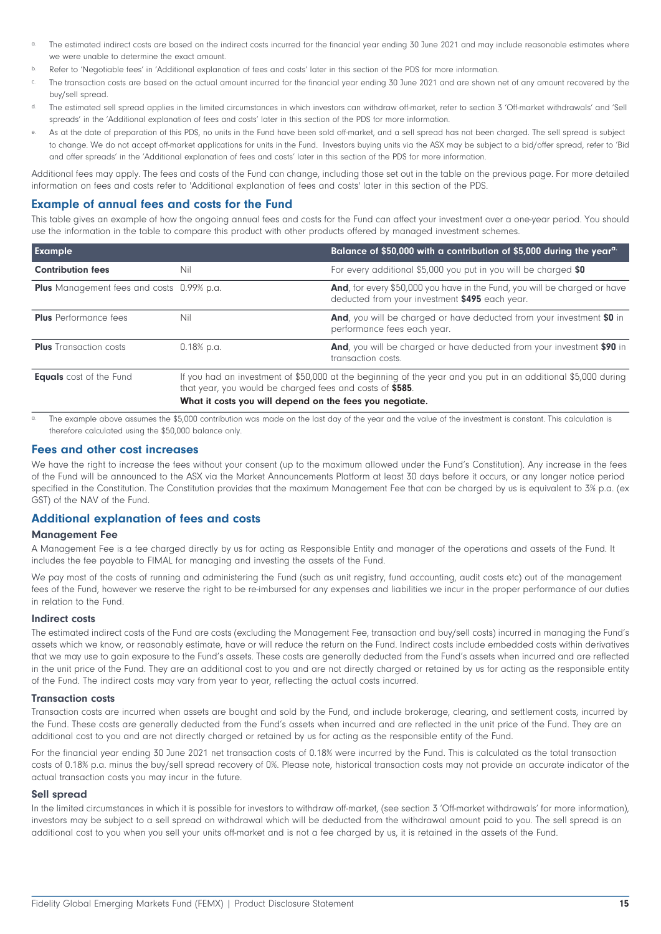- The estimated indirect costs are based on the indirect costs incurred for the financial year ending 30 June 2021 and may include reasonable estimates where we were unable to determine the exact amount.
- b. Refer to 'Negotiable fees' in 'Additional explanation of fees and costs' later in this section of the PDS for more information.
- c. The transaction costs are based on the actual amount incurred for the financial year ending 30 June 2021 and are shown net of any amount recovered by the buy/sell spread.
- d. The estimated sell spread applies in the limited circumstances in which investors can withdraw off-market, refer to section 3 'Off-market withdrawals' and 'Sell spreads' in the 'Additional explanation of fees and costs' later in this section of the PDS for more information.
- As at the date of preparation of this PDS, no units in the Fund have been sold off-market, and a sell spread has not been charged. The sell spread is subject to change. We do not accept off-market applications for units in the Fund. Investors buying units via the ASX may be subject to a bid/offer spread, refer to 'Bid and offer spreads' in the 'Additional explanation of fees and costs' later in this section of the PDS for more information.

Additional fees may apply. The fees and costs of the Fund can change, including those set out in the table on the previous page. For more detailed information on fees and costs refer to 'Additional explanation of fees and costs' later in this section of the PDS.

# **Example of annual fees and costs for the Fund**

This table gives an example of how the ongoing annual fees and costs for the Fund can affect your investment over a one-year period. You should use the information in the table to compare this product with other products offered by managed investment schemes.

| <b>Example</b>                                   |                                                                                                                                                                                                                                       | Balance of \$50,000 with a contribution of \$5,000 during the year <sup>a.</sup>                                                    |
|--------------------------------------------------|---------------------------------------------------------------------------------------------------------------------------------------------------------------------------------------------------------------------------------------|-------------------------------------------------------------------------------------------------------------------------------------|
| <b>Contribution fees</b>                         | Nil                                                                                                                                                                                                                                   | For every additional \$5,000 you put in you will be charged \$0                                                                     |
| <b>Plus</b> Management fees and costs 0.99% p.a. |                                                                                                                                                                                                                                       | <b>And</b> , for every \$50,000 you have in the Fund, you will be charged or have<br>deducted from your investment \$495 each year. |
| <b>Plus</b> Performance fees                     | Nil                                                                                                                                                                                                                                   | And, you will be charged or have deducted from your investment \$0 in<br>performance fees each year.                                |
| <b>Plus</b> Transaction costs                    | $0.18%$ p.a.                                                                                                                                                                                                                          | And, you will be charged or have deducted from your investment \$90 in<br>transaction costs.                                        |
| <b>Equals</b> cost of the Fund                   | If you had an investment of \$50,000 at the beginning of the year and you put in an additional \$5,000 during<br>that year, you would be charged fees and costs of \$585.<br>What it costs you will depend on the fees you negotiate. |                                                                                                                                     |

The example above assumes the \$5,000 contribution was made on the last day of the year and the value of the investment is constant. This calculation is therefore calculated using the \$50,000 balance only.

#### **Fees and other cost increases**

We have the right to increase the fees without your consent (up to the maximum allowed under the Fund's Constitution). Any increase in the fees of the Fund will be announced to the ASX via the Market Announcements Platform at least 30 days before it occurs, or any longer notice period specified in the Constitution. The Constitution provides that the maximum Management Fee that can be charged by us is equivalent to 3% p.a. (ex GST) of the NAV of the Fund.

# **Additional explanation of fees and costs**

#### **Management Fee**

A Management Fee is a fee charged directly by us for acting as Responsible Entity and manager of the operations and assets of the Fund. It includes the fee payable to FIMAL for managing and investing the assets of the Fund.

We pay most of the costs of running and administering the Fund (such as unit registry, fund accounting, audit costs etc) out of the management fees of the Fund, however we reserve the right to be re-imbursed for any expenses and liabilities we incur in the proper performance of our duties in relation to the Fund.

#### **Indirect costs**

The estimated indirect costs of the Fund are costs (excluding the Management Fee, transaction and buy/sell costs) incurred in managing the Fund's assets which we know, or reasonably estimate, have or will reduce the return on the Fund. Indirect costs include embedded costs within derivatives that we may use to gain exposure to the Fund's assets. These costs are generally deducted from the Fund's assets when incurred and are reflected in the unit price of the Fund. They are an additional cost to you and are not directly charged or retained by us for acting as the responsible entity of the Fund. The indirect costs may vary from year to year, reflecting the actual costs incurred.

#### **Transaction costs**

Transaction costs are incurred when assets are bought and sold by the Fund, and include brokerage, clearing, and settlement costs, incurred by the Fund. These costs are generally deducted from the Fund's assets when incurred and are reflected in the unit price of the Fund. They are an additional cost to you and are not directly charged or retained by us for acting as the responsible entity of the Fund.

For the financial year ending 30 June 2021 net transaction costs of 0.18% were incurred by the Fund. This is calculated as the total transaction costs of 0.18% p.a. minus the buy/sell spread recovery of 0%. Please note, historical transaction costs may not provide an accurate indicator of the actual transaction costs you may incur in the future.

#### **Sell spread**

In the limited circumstances in which it is possible for investors to withdraw off-market, (see section 3 'Off-market withdrawals' for more information), investors may be subject to a sell spread on withdrawal which will be deducted from the withdrawal amount paid to you. The sell spread is an additional cost to you when you sell your units off-market and is not a fee charged by us, it is retained in the assets of the Fund.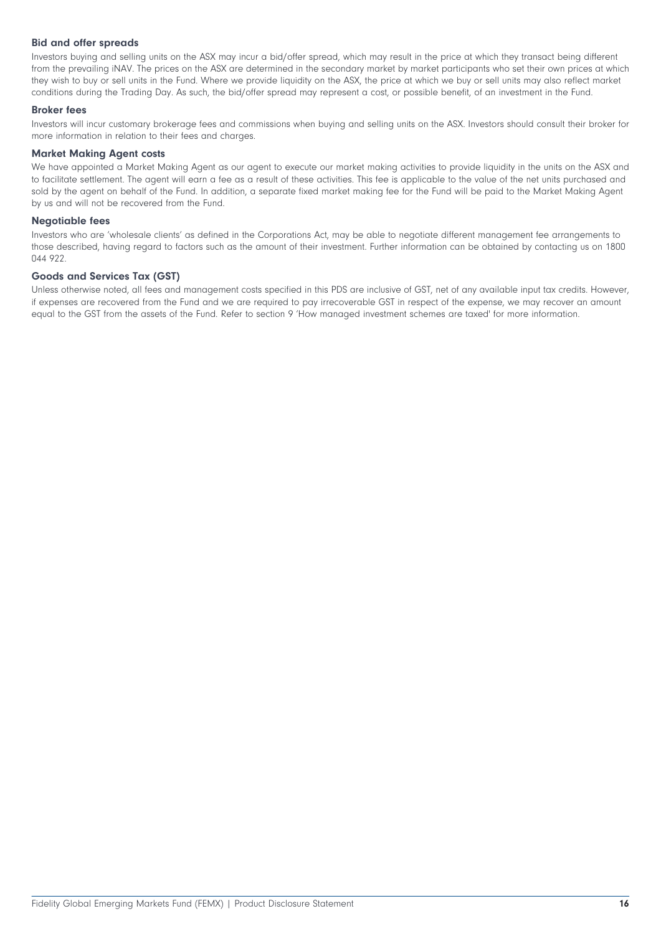#### **Bid and offer spreads**

Investors buying and selling units on the ASX may incur a bid/offer spread, which may result in the price at which they transact being different from the prevailing iNAV. The prices on the ASX are determined in the secondary market by market participants who set their own prices at which they wish to buy or sell units in the Fund. Where we provide liquidity on the ASX, the price at which we buy or sell units may also reflect market conditions during the Trading Day. As such, the bid/offer spread may represent a cost, or possible benefit, of an investment in the Fund.

#### **Broker fees**

Investors will incur customary brokerage fees and commissions when buying and selling units on the ASX. Investors should consult their broker for more information in relation to their fees and charges.

#### **Market Making Agent costs**

We have appointed a Market Making Agent as our agent to execute our market making activities to provide liquidity in the units on the ASX and to facilitate settlement. The agent will earn a fee as a result of these activities. This fee is applicable to the value of the net units purchased and sold by the agent on behalf of the Fund. In addition, a separate fixed market making fee for the Fund will be paid to the Market Making Agent by us and will not be recovered from the Fund.

#### **Negotiable fees**

Investors who are 'wholesale clients' as defined in the Corporations Act, may be able to negotiate different management fee arrangements to those described, having regard to factors such as the amount of their investment. Further information can be obtained by contacting us on 1800 044 922.

#### **Goods and Services Tax (GST)**

Unless otherwise noted, all fees and management costs specified in this PDS are inclusive of GST, net of any available input tax credits. However, if expenses are recovered from the Fund and we are required to pay irrecoverable GST in respect of the expense, we may recover an amount equal to the GST from the assets of the Fund. Refer to section 9 'How managed investment schemes are taxed' for more information.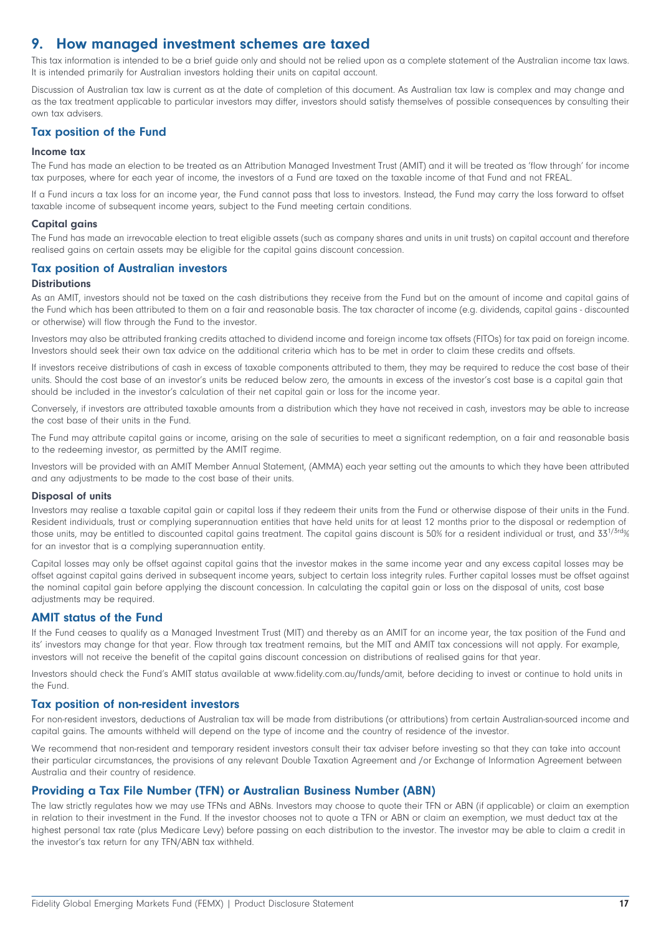# <span id="page-16-0"></span>**9. How managed investment schemes are taxed**

This tax information is intended to be a brief guide only and should not be relied upon as a complete statement of the Australian income tax laws. It is intended primarily for Australian investors holding their units on capital account.

Discussion of Australian tax law is current as at the date of completion of this document. As Australian tax law is complex and may change and as the tax treatment applicable to particular investors may differ, investors should satisfy themselves of possible consequences by consulting their own tax advisers.

### **Tax position of the Fund**

#### **Income tax**

The Fund has made an election to be treated as an Attribution Managed Investment Trust (AMIT) and it will be treated as 'flow through' for income tax purposes, where for each year of income, the investors of a Fund are taxed on the taxable income of that Fund and not FREAL.

If a Fund incurs a tax loss for an income year, the Fund cannot pass that loss to investors. Instead, the Fund may carry the loss forward to offset taxable income of subsequent income years, subject to the Fund meeting certain conditions.

#### **Capital gains**

The Fund has made an irrevocable election to treat eligible assets (such as company shares and units in unit trusts) on capital account and therefore realised gains on certain assets may be eligible for the capital gains discount concession.

#### **Tax position of Australian investors**

#### **Distributions**

As an AMIT, investors should not be taxed on the cash distributions they receive from the Fund but on the amount of income and capital gains of the Fund which has been attributed to them on a fair and reasonable basis. The tax character of income (e.g. dividends, capital gains - discounted or otherwise) will flow through the Fund to the investor.

Investors may also be attributed franking credits attached to dividend income and foreign income tax offsets (FITOs) for tax paid on foreign income. Investors should seek their own tax advice on the additional criteria which has to be met in order to claim these credits and offsets.

If investors receive distributions of cash in excess of taxable components attributed to them, they may be required to reduce the cost base of their units. Should the cost base of an investor's units be reduced below zero, the amounts in excess of the investor's cost base is a capital gain that should be included in the investor's calculation of their net capital gain or loss for the income year.

Conversely, if investors are attributed taxable amounts from a distribution which they have not received in cash, investors may be able to increase the cost base of their units in the Fund.

The Fund may attribute capital gains or income, arising on the sale of securities to meet a significant redemption, on a fair and reasonable basis to the redeeming investor, as permitted by the AMIT regime.

Investors will be provided with an AMIT Member Annual Statement, (AMMA) each year setting out the amounts to which they have been attributed and any adjustments to be made to the cost base of their units.

#### **Disposal of units**

Investors may realise a taxable capital gain or capital loss if they redeem their units from the Fund or otherwise dispose of their units in the Fund. Resident individuals, trust or complying superannuation entities that have held units for at least 12 months prior to the disposal or redemption of those units, may be entitled to discounted capital gains treatment. The capital gains discount is 50% for a resident individual or trust, and 33<sup>1/3rd</sup>% for an investor that is a complying superannuation entity.

Capital losses may only be offset against capital gains that the investor makes in the same income year and any excess capital losses may be offset against capital gains derived in subsequent income years, subject to certain loss integrity rules. Further capital losses must be offset against the nominal capital gain before applying the discount concession. In calculating the capital gain or loss on the disposal of units, cost base adjustments may be required.

#### **AMIT status of the Fund**

If the Fund ceases to qualify as a Managed Investment Trust (MIT) and thereby as an AMIT for an income year, the tax position of the Fund and its' investors may change for that year. Flow through tax treatment remains, but the MIT and AMIT tax concessions will not apply. For example, investors will not receive the benefit of the capital gains discount concession on distributions of realised gains for that year.

Investors should check the Fund's AMIT status available at [www.fidelity.com.au/funds/amit](https://www.fidelity.com.au/funds/amit/), before deciding to invest or continue to hold units in the Fund.

#### **Tax position of non-resident investors**

For non-resident investors, deductions of Australian tax will be made from distributions (or attributions) from certain Australian-sourced income and capital gains. The amounts withheld will depend on the type of income and the country of residence of the investor.

We recommend that non-resident and temporary resident investors consult their tax adviser before investing so that they can take into account their particular circumstances, the provisions of any relevant Double Taxation Agreement and /or Exchange of Information Agreement between Australia and their country of residence.

#### **Providing a Tax File Number (TFN) or Australian Business Number (ABN)**

The law strictly regulates how we may use TFNs and ABNs. Investors may choose to quote their TFN or ABN (if applicable) or claim an exemption in relation to their investment in the Fund. If the investor chooses not to quote a TFN or ABN or claim an exemption, we must deduct tax at the highest personal tax rate (plus Medicare Levy) before passing on each distribution to the investor. The investor may be able to claim a credit in the investor's tax return for any TFN/ABN tax withheld.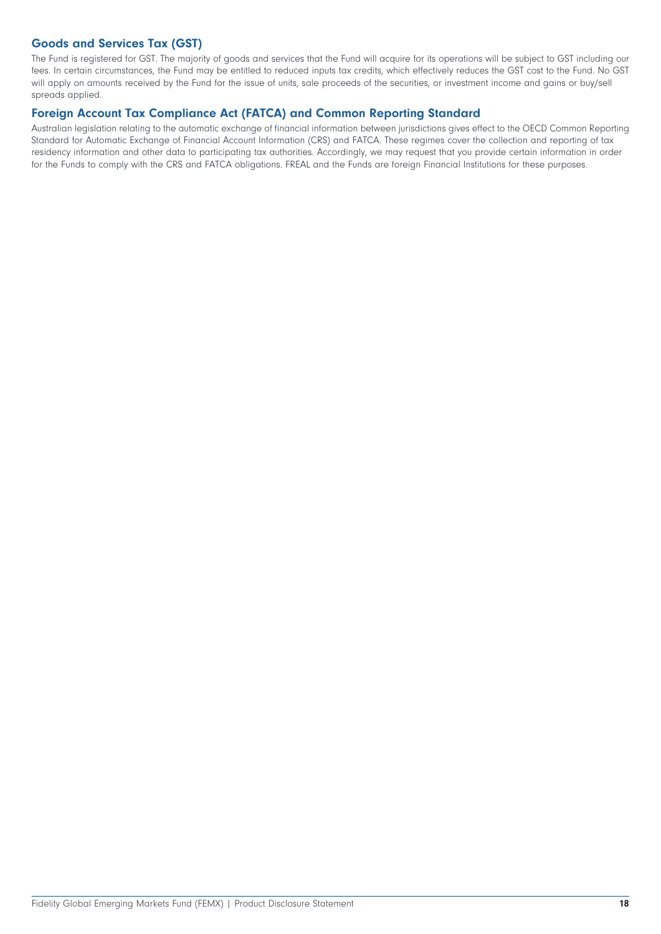# **Goods and Services Tax (GST)**

The Fund is registered for GST. The majority of goods and services that the Fund will acquire for its operations will be subject to GST including our fees. In certain circumstances, the Fund may be entitled to reduced inputs tax credits, which effectively reduces the GST cost to the Fund. No GST will apply on amounts received by the Fund for the issue of units, sale proceeds of the securities, or investment income and gains or buy/sell spreads applied.

# **Foreign Account Tax Compliance Act (FATCA) and Common Reporting Standard**

Australian legislation relating to the automatic exchange of financial information between jurisdictions gives effect to the OECD Common Reporting Standard for Automatic Exchange of Financial Account Information (CRS) and FATCA. These regimes cover the collection and reporting of tax residency information and other data to participating tax authorities. Accordingly, we may request that you provide certain information in order for the Funds to comply with the CRS and FATCA obligations. FREAL and the Funds are foreign Financial Institutions for these purposes.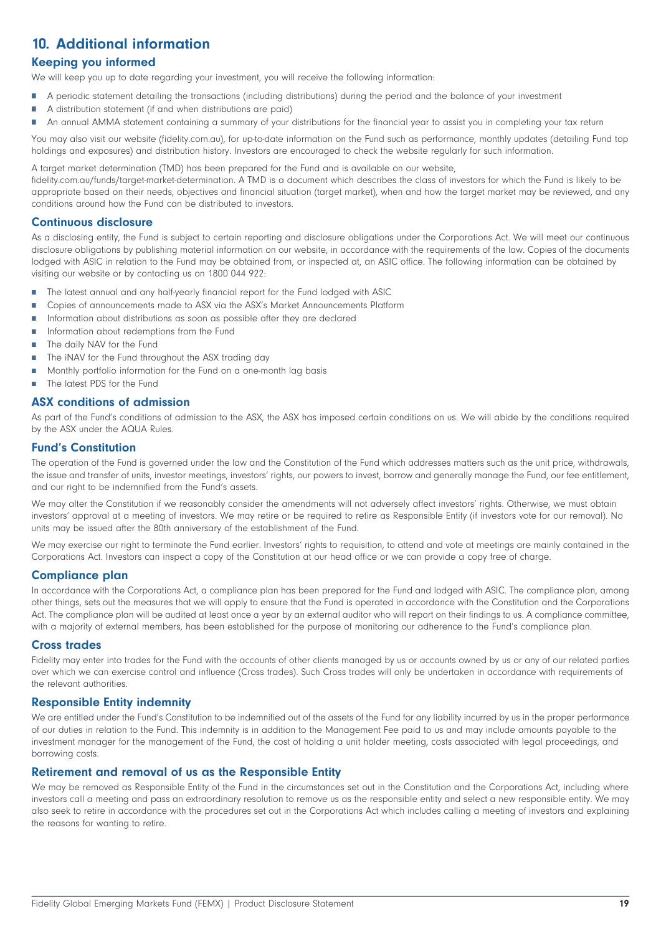# <span id="page-18-0"></span>**10. Additional information**

# **Keeping you informed**

We will keep you up to date regarding your investment, you will receive the following information:

- ÷ A periodic statement detailing the transactions (including distributions) during the period and the balance of your investment
- A distribution statement (if and when distributions are paid) Ė
- $\blacksquare$ An annual AMMA statement containing a summary of your distributions for the financial year to assist you in completing your tax return

You may also visit our website (fidelity.com.au), for up-to-date information on the Fund such as performance, monthly updates (detailing Fund top holdings and exposures) and distribution history. Investors are encouraged to check the website regularly for such information.

A target market determination (TMD) has been prepared for the Fund and is available on our website,

fidelity.com.au/funds/target-market-determination. A TMD is a document which describes the class of investors for which the Fund is likely to be appropriate based on their needs, objectives and financial situation (target market), when and how the target market may be reviewed, and any conditions around how the Fund can be distributed to investors.

### **Continuous disclosure**

As a disclosing entity, the Fund is subject to certain reporting and disclosure obligations under the Corporations Act. We will meet our continuous disclosure obligations by publishing material information on our website, in accordance with the requirements of the law. Copies of the documents lodged with ASIC in relation to the Fund may be obtained from, or inspected at, an ASIC office. The following information can be obtained by visiting our website or by contacting us on 1800 044 922:

- $\overline{\phantom{a}}$ The latest annual and any half-yearly financial report for the Fund lodged with ASIC
- Copies of announcements made to ASX via the ASX's Market Announcements Platform П
- $\mathbf{r}$ Information about distributions as soon as possible after they are declared
- Ė Information about redemptions from the Fund
- $\overline{\phantom{a}}$ The daily NAV for the Fund
- $\mathbf{r}$ The iNAV for the Fund throughout the ASX trading day
- n Monthly portfolio information for the Fund on a one-month lag basis
- $\blacksquare$ The latest PDS for the Fund

### **ASX conditions of admission**

As part of the Fund's conditions of admission to the ASX, the ASX has imposed certain conditions on us. We will abide by the conditions required by the ASX under the AQUA Rules.

#### **Fund's Constitution**

The operation of the Fund is governed under the law and the Constitution of the Fund which addresses matters such as the unit price, withdrawals, the issue and transfer of units, investor meetings, investors' rights, our powers to invest, borrow and generally manage the Fund, our fee entitlement, and our right to be indemnified from the Fund's assets.

We may alter the Constitution if we reasonably consider the amendments will not adversely affect investors' rights. Otherwise, we must obtain investors' approval at a meeting of investors. We may retire or be required to retire as Responsible Entity (if investors vote for our removal). No units may be issued after the 80th anniversary of the establishment of the Fund.

We may exercise our right to terminate the Fund earlier. Investors' rights to requisition, to attend and vote at meetings are mainly contained in the Corporations Act. Investors can inspect a copy of the Constitution at our head office or we can provide a copy free of charge.

# **Compliance plan**

In accordance with the Corporations Act, a compliance plan has been prepared for the Fund and lodged with ASIC. The compliance plan, among other things, sets out the measures that we will apply to ensure that the Fund is operated in accordance with the Constitution and the Corporations Act. The compliance plan will be audited at least once a year by an external auditor who will report on their findings to us. A compliance committee, with a majority of external members, has been established for the purpose of monitoring our adherence to the Fund's compliance plan.

#### **Cross trades**

Fidelity may enter into trades for the Fund with the accounts of other clients managed by us or accounts owned by us or any of our related parties over which we can exercise control and influence (Cross trades). Such Cross trades will only be undertaken in accordance with requirements of the relevant authorities.

### **Responsible Entity indemnity**

We are entitled under the Fund's Constitution to be indemnified out of the assets of the Fund for any liability incurred by us in the proper performance of our duties in relation to the Fund. This indemnity is in addition to the Management Fee paid to us and may include amounts payable to the investment manager for the management of the Fund, the cost of holding a unit holder meeting, costs associated with legal proceedings, and borrowing costs.

#### **Retirement and removal of us as the Responsible Entity**

We may be removed as Responsible Entity of the Fund in the circumstances set out in the Constitution and the Corporations Act, including where investors call a meeting and pass an extraordinary resolution to remove us as the responsible entity and select a new responsible entity. We may also seek to retire in accordance with the procedures set out in the Corporations Act which includes calling a meeting of investors and explaining the reasons for wanting to retire.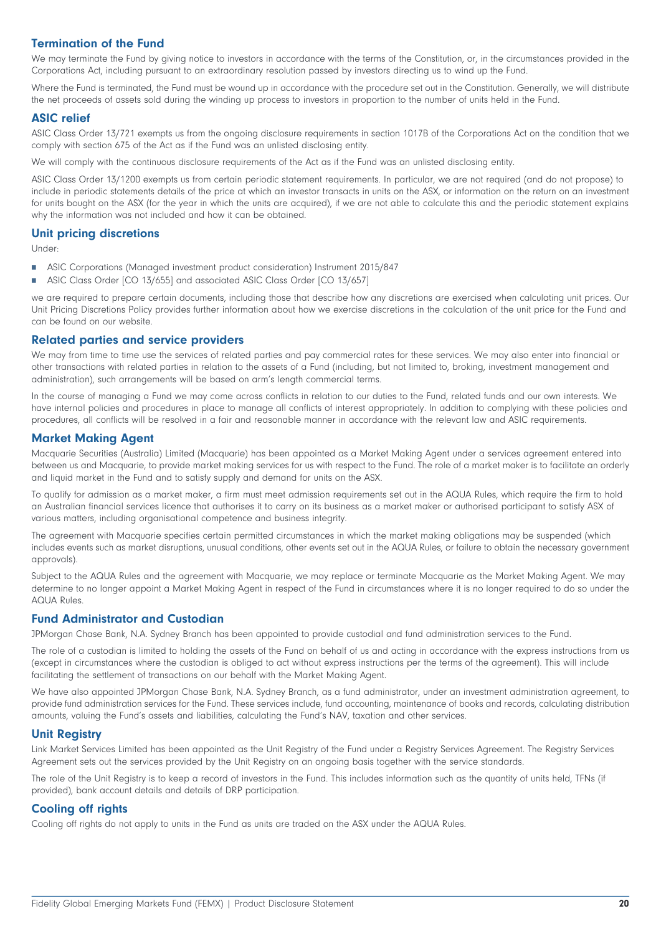# **Termination of the Fund**

We may terminate the Fund by giving notice to investors in accordance with the terms of the Constitution, or, in the circumstances provided in the Corporations Act, including pursuant to an extraordinary resolution passed by investors directing us to wind up the Fund.

Where the Fund is terminated, the Fund must be wound up in accordance with the procedure set out in the Constitution. Generally, we will distribute the net proceeds of assets sold during the winding up process to investors in proportion to the number of units held in the Fund.

### **ASIC relief**

ASIC Class Order 13/721 exempts us from the ongoing disclosure requirements in section 1017B of the Corporations Act on the condition that we comply with section 675 of the Act as if the Fund was an unlisted disclosing entity.

We will comply with the continuous disclosure requirements of the Act as if the Fund was an unlisted disclosing entity.

ASIC Class Order 13/1200 exempts us from certain periodic statement requirements. In particular, we are not required (and do not propose) to include in periodic statements details of the price at which an investor transacts in units on the ASX, or information on the return on an investment for units bought on the ASX (for the year in which the units are acquired), if we are not able to calculate this and the periodic statement explains why the information was not included and how it can be obtained.

#### **Unit pricing discretions**

Under:

- m. ASIC Corporations (Managed investment product consideration) Instrument 2015/847
- ASIC Class Order [CO 13/655] and associated ASIC Class Order [CO 13/657] Ħ

we are required to prepare certain documents, including those that describe how any discretions are exercised when calculating unit prices. Our Unit Pricing Discretions Policy provides further information about how we exercise discretions in the calculation of the unit price for the Fund and can be found on our website.

### **Related parties and service providers**

We may from time to time use the services of related parties and pay commercial rates for these services. We may also enter into financial or other transactions with related parties in relation to the assets of a Fund (including, but not limited to, broking, investment management and administration), such arrangements will be based on arm's length commercial terms.

In the course of managing a Fund we may come across conflicts in relation to our duties to the Fund, related funds and our own interests. We have internal policies and procedures in place to manage all conflicts of interest appropriately. In addition to complying with these policies and procedures, all conflicts will be resolved in a fair and reasonable manner in accordance with the relevant law and ASIC requirements.

### **Market Making Agent**

Macquarie Securities (Australia) Limited (Macquarie) has been appointed as a Market Making Agent under a services agreement entered into between us and Macquarie, to provide market making services for us with respect to the Fund. The role of a market maker is to facilitate an orderly and liquid market in the Fund and to satisfy supply and demand for units on the ASX.

To qualify for admission as a market maker, a firm must meet admission requirements set out in the AQUA Rules, which require the firm to hold an Australian financial services licence that authorises it to carry on its business as a market maker or authorised participant to satisfy ASX of various matters, including organisational competence and business integrity.

The agreement with Macquarie specifies certain permitted circumstances in which the market making obligations may be suspended (which includes events such as market disruptions, unusual conditions, other events set out in the AQUA Rules, or failure to obtain the necessary government approvals).

Subject to the AQUA Rules and the agreement with Macquarie, we may replace or terminate Macquarie as the Market Making Agent. We may determine to no longer appoint a Market Making Agent in respect of the Fund in circumstances where it is no longer required to do so under the AQUA Rules.

#### **Fund Administrator and Custodian**

JPMorgan Chase Bank, N.A. Sydney Branch has been appointed to provide custodial and fund administration services to the Fund.

The role of a custodian is limited to holding the assets of the Fund on behalf of us and acting in accordance with the express instructions from us (except in circumstances where the custodian is obliged to act without express instructions per the terms of the agreement). This will include facilitating the settlement of transactions on our behalf with the Market Making Agent.

We have also appointed JPMorgan Chase Bank, N.A. Sydney Branch, as a fund administrator, under an investment administration agreement, to provide fund administration services for the Fund. These services include, fund accounting, maintenance of books and records, calculating distribution amounts, valuing the Fund's assets and liabilities, calculating the Fund's NAV, taxation and other services.

#### **Unit Registry**

Link Market Services Limited has been appointed as the Unit Registry of the Fund under a Registry Services Agreement. The Registry Services Agreement sets out the services provided by the Unit Registry on an ongoing basis together with the service standards.

The role of the Unit Registry is to keep a record of investors in the Fund. This includes information such as the quantity of units held, TFNs (if provided), bank account details and details of DRP participation.

# **Cooling off rights**

Cooling off rights do not apply to units in the Fund as units are traded on the ASX under the AQUA Rules.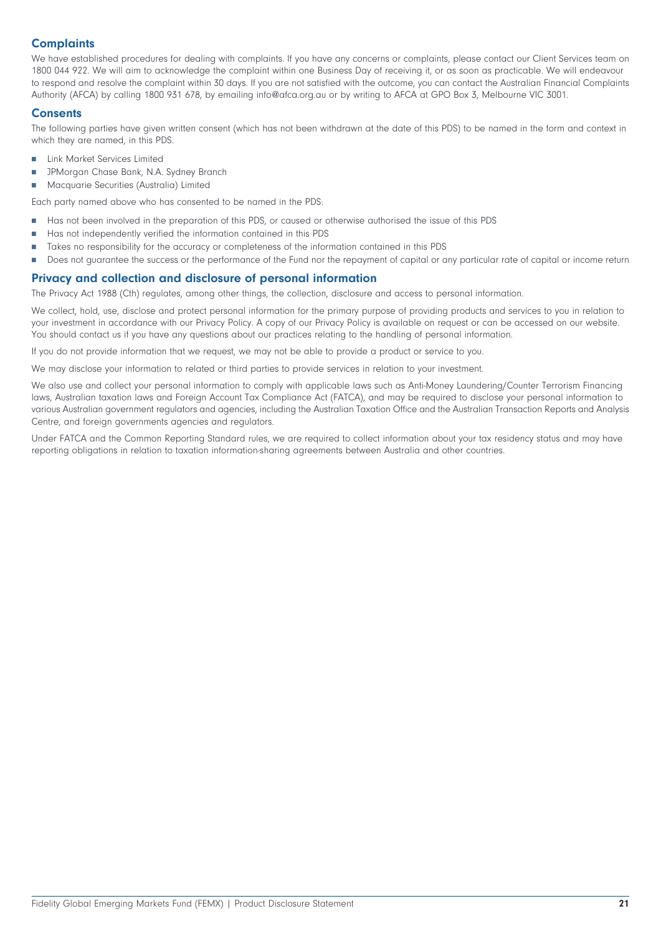# **Complaints**

We have established procedures for dealing with complaints. If you have any concerns or complaints, please contact our Client Services team on 1800 044 922. We will aim to acknowledge the complaint within one Business Day of receiving it, or as soon as practicable. We will endeavour to respond and resolve the complaint within 30 days. If you are not satisfied with the outcome, you can contact the Australian Financial Complaints Authority (AFCA) by calling 1800 931 678, by emailing info@afca.org.au or by writing to AFCA at GPO Box 3, Melbourne VIC 3001.

#### **Consents**

The following parties have given written consent (which has not been withdrawn at the date of this PDS) to be named in the form and context in which they are named, in this PDS.

- É Link Market Services Limited
- JPMorgan Chase Bank, N.A. Sydney Branch П
- П Macquarie Securities (Australia) Limited

Each party named above who has consented to be named in the PDS:

- Has not been involved in the preparation of this PDS, or caused or otherwise authorised the issue of this PDS T.
- Ħ Has not independently verified the information contained in this PDS
- Ė Takes no responsibility for the accuracy or completeness of the information contained in this PDS
- П Does not guarantee the success or the performance of the Fund nor the repayment of capital or any particular rate of capital or income return

# **Privacy and collection and disclosure of personal information**

The Privacy Act 1988 (Cth) regulates, among other things, the collection, disclosure and access to personal information.

We collect, hold, use, disclose and protect personal information for the primary purpose of providing products and services to you in relation to your investment in accordance with our Privacy Policy. A copy of our Privacy Policy is available on request or can be accessed on our website. You should contact us if you have any questions about our practices relating to the handling of personal information.

If you do not provide information that we request, we may not be able to provide a product or service to you.

We may disclose your information to related or third parties to provide services in relation to your investment.

We also use and collect your personal information to comply with applicable laws such as Anti-Money Laundering/Counter Terrorism Financing laws, Australian taxation laws and Foreign Account Tax Compliance Act (FATCA), and may be required to disclose your personal information to various Australian government regulators and agencies, including the Australian Taxation Office and the Australian Transaction Reports and Analysis Centre, and foreign governments agencies and regulators.

Under FATCA and the Common Reporting Standard rules, we are required to collect information about your tax residency status and may have reporting obligations in relation to taxation information-sharing agreements between Australia and other countries.